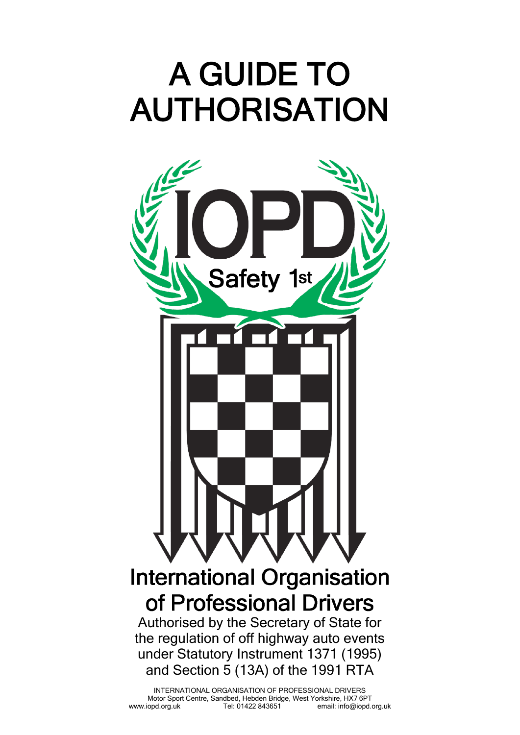# A GUIDE TO AUTHORISATION



INTERNATIONAL ORGANISATION OF PROFESSIONAL DRIVERS Motor Sport Centre, Sandbed, Hebden Bridge, West Yorkshire, HX7 6PT<br>iopd.org.uk Tel: 01422 843651 ropd.it. info@iopd.org.uk www.iopd.org.uk Tel: 01422 843651 email: info@iopd.org.uk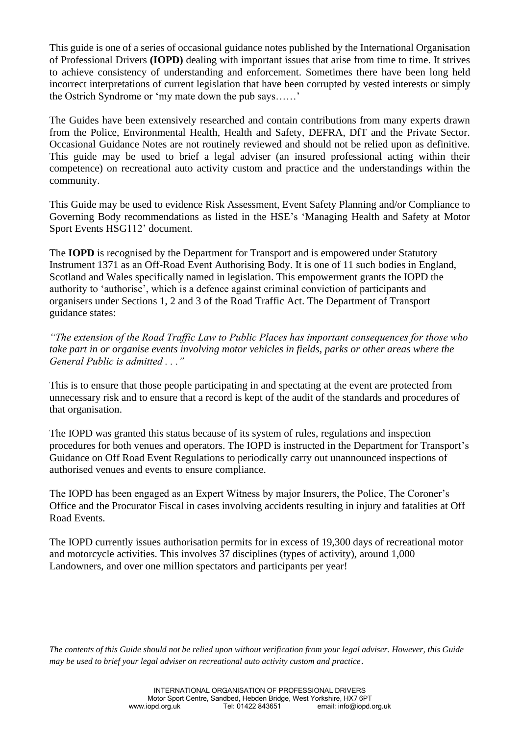This guide is one of a series of occasional guidance notes published by the International Organisation of Professional Drivers **(IOPD)** dealing with important issues that arise from time to time. It strives to achieve consistency of understanding and enforcement. Sometimes there have been long held incorrect interpretations of current legislation that have been corrupted by vested interests or simply the Ostrich Syndrome or 'my mate down the pub says……'

The Guides have been extensively researched and contain contributions from many experts drawn from the Police, Environmental Health, Health and Safety, DEFRA, DfT and the Private Sector. Occasional Guidance Notes are not routinely reviewed and should not be relied upon as definitive. This guide may be used to brief a legal adviser (an insured professional acting within their competence) on recreational auto activity custom and practice and the understandings within the community.

This Guide may be used to evidence Risk Assessment, Event Safety Planning and/or Compliance to Governing Body recommendations as listed in the HSE's 'Managing Health and Safety at Motor Sport Events HSG112' document.

The **IOPD** is recognised by the Department for Transport and is empowered under Statutory Instrument 1371 as an Off-Road Event Authorising Body. It is one of 11 such bodies in England, Scotland and Wales specifically named in legislation. This empowerment grants the IOPD the authority to 'authorise', which is a defence against criminal conviction of participants and organisers under Sections 1, 2 and 3 of the Road Traffic Act. The Department of Transport guidance states:

*"The extension of the Road Traffic Law to Public Places has important consequences for those who take part in or organise events involving motor vehicles in fields, parks or other areas where the General Public is admitted . . ."*

This is to ensure that those people participating in and spectating at the event are protected from unnecessary risk and to ensure that a record is kept of the audit of the standards and procedures of that organisation.

The IOPD was granted this status because of its system of rules, regulations and inspection procedures for both venues and operators. The IOPD is instructed in the Department for Transport's Guidance on Off Road Event Regulations to periodically carry out unannounced inspections of authorised venues and events to ensure compliance.

The IOPD has been engaged as an Expert Witness by major Insurers, the Police, The Coroner's Office and the Procurator Fiscal in cases involving accidents resulting in injury and fatalities at Off Road Events.

The IOPD currently issues authorisation permits for in excess of 19,300 days of recreational motor and motorcycle activities. This involves 37 disciplines (types of activity), around 1,000 Landowners, and over one million spectators and participants per year!

*The contents of this Guide should not be relied upon without verification from your legal adviser. However, this Guide may be used to brief your legal adviser on recreational auto activity custom and practice*.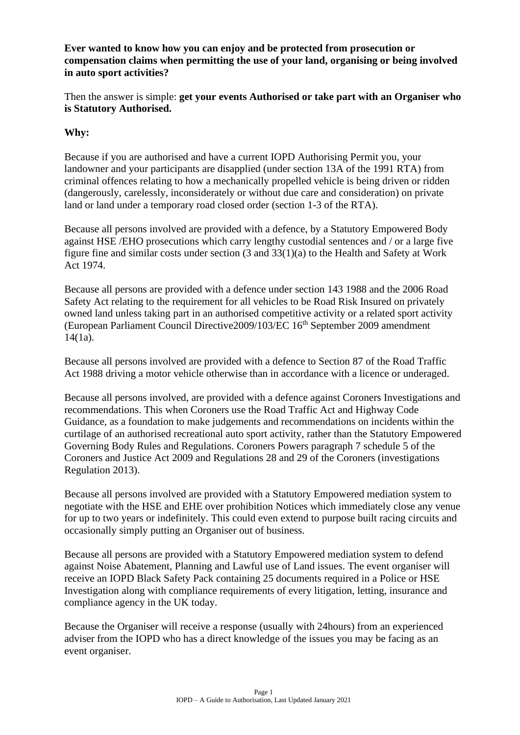**Ever wanted to know how you can enjoy and be protected from prosecution or compensation claims when permitting the use of your land, organising or being involved in auto sport activities?**

Then the answer is simple: **get your events Authorised or take part with an Organiser who is Statutory Authorised.**

#### **Why:**

Because if you are authorised and have a current IOPD Authorising Permit you, your landowner and your participants are disapplied (under section 13A of the 1991 RTA) from criminal offences relating to how a mechanically propelled vehicle is being driven or ridden (dangerously, carelessly, inconsiderately or without due care and consideration) on private land or land under a temporary road closed order (section 1-3 of the RTA).

Because all persons involved are provided with a defence, by a Statutory Empowered Body against HSE /EHO prosecutions which carry lengthy custodial sentences and / or a large five figure fine and similar costs under section (3 and 33(1)(a) to the Health and Safety at Work Act 1974.

Because all persons are provided with a defence under section 143 1988 and the 2006 Road Safety Act relating to the requirement for all vehicles to be Road Risk Insured on privately owned land unless taking part in an authorised competitive activity or a related sport activity (European Parliament Council Directive2009/103/EC 16th September 2009 amendment 14(1a).

Because all persons involved are provided with a defence to Section 87 of the Road Traffic Act 1988 driving a motor vehicle otherwise than in accordance with a licence or underaged.

Because all persons involved, are provided with a defence against Coroners Investigations and recommendations. This when Coroners use the Road Traffic Act and Highway Code Guidance, as a foundation to make judgements and recommendations on incidents within the curtilage of an authorised recreational auto sport activity, rather than the Statutory Empowered Governing Body Rules and Regulations. Coroners Powers paragraph 7 schedule 5 of the Coroners and Justice Act 2009 and Regulations 28 and 29 of the Coroners (investigations Regulation 2013).

Because all persons involved are provided with a Statutory Empowered mediation system to negotiate with the HSE and EHE over prohibition Notices which immediately close any venue for up to two years or indefinitely. This could even extend to purpose built racing circuits and occasionally simply putting an Organiser out of business.

Because all persons are provided with a Statutory Empowered mediation system to defend against Noise Abatement, Planning and Lawful use of Land issues. The event organiser will receive an IOPD Black Safety Pack containing 25 documents required in a Police or HSE Investigation along with compliance requirements of every litigation, letting, insurance and compliance agency in the UK today.

Because the Organiser will receive a response (usually with 24hours) from an experienced adviser from the IOPD who has a direct knowledge of the issues you may be facing as an event organiser.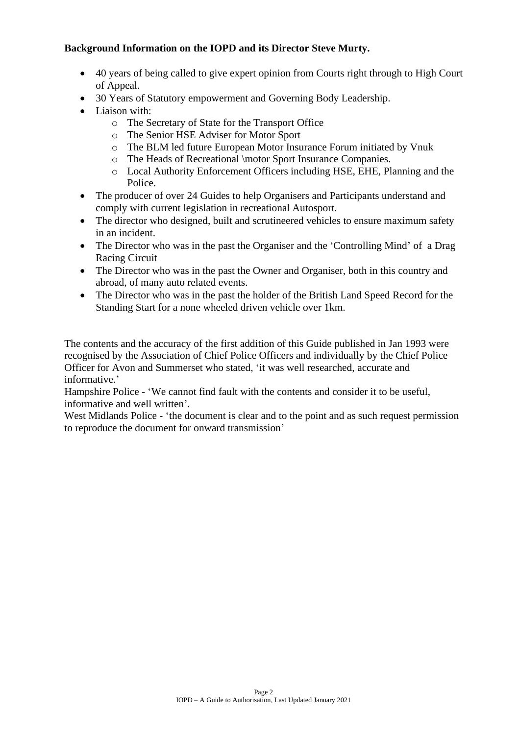#### **Background Information on the IOPD and its Director Steve Murty.**

- 40 years of being called to give expert opinion from Courts right through to High Court of Appeal.
- 30 Years of Statutory empowerment and Governing Body Leadership.
- Liaison with:
	- o The Secretary of State for the Transport Office
	- o The Senior HSE Adviser for Motor Sport
	- o The BLM led future European Motor Insurance Forum initiated by Vnuk
	- o The Heads of Recreational \motor Sport Insurance Companies.
	- o Local Authority Enforcement Officers including HSE, EHE, Planning and the Police.
- The producer of over 24 Guides to help Organisers and Participants understand and comply with current legislation in recreational Autosport.
- The director who designed, built and scrutineered vehicles to ensure maximum safety in an incident.
- The Director who was in the past the Organiser and the 'Controlling Mind' of a Drag Racing Circuit
- The Director who was in the past the Owner and Organiser, both in this country and abroad, of many auto related events.
- The Director who was in the past the holder of the British Land Speed Record for the Standing Start for a none wheeled driven vehicle over 1km.

The contents and the accuracy of the first addition of this Guide published in Jan 1993 were recognised by the Association of Chief Police Officers and individually by the Chief Police Officer for Avon and Summerset who stated, 'it was well researched, accurate and informative.'

Hampshire Police - 'We cannot find fault with the contents and consider it to be useful, informative and well written'.

West Midlands Police - 'the document is clear and to the point and as such request permission to reproduce the document for onward transmission'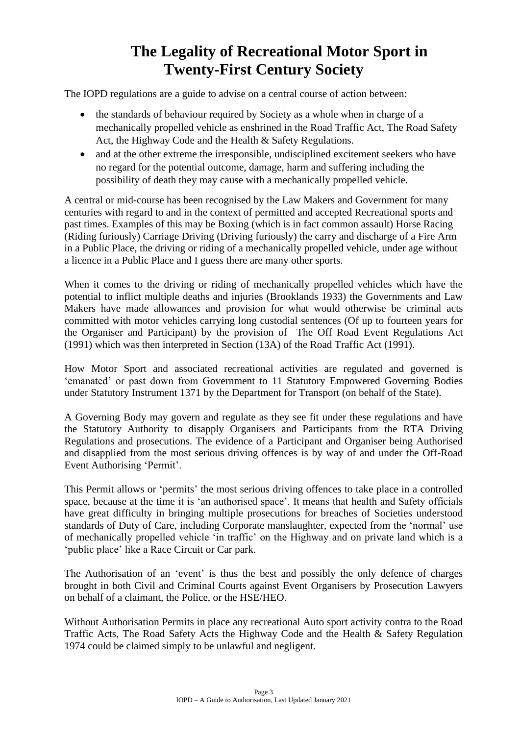# **The Legality of Recreational Motor Sport in Twenty-First Century Society**

The IOPD regulations are a guide to advise on a central course of action between:

- the standards of behaviour required by Society as a whole when in charge of a mechanically propelled vehicle as enshrined in the Road Traffic Act, The Road Safety Act, the Highway Code and the Health & Safety Regulations.
- and at the other extreme the irresponsible, undisciplined excitement seekers who have no regard for the potential outcome, damage, harm and suffering including the possibility of death they may cause with a mechanically propelled vehicle.

A central or mid-course has been recognised by the Law Makers and Government for many centuries with regard to and in the context of permitted and accepted Recreational sports and past times. Examples of this may be Boxing (which is in fact common assault) Horse Racing (Riding furiously) Carriage Driving (Driving furiously) the carry and discharge of a Fire Arm in a Public Place, the driving or riding of a mechanically propelled vehicle, under age without a licence in a Public Place and I guess there are many other sports.

When it comes to the driving or riding of mechanically propelled vehicles which have the potential to inflict multiple deaths and injuries (Brooklands 1933) the Governments and Law Makers have made allowances and provision for what would otherwise be criminal acts committed with motor vehicles carrying long custodial sentences (Of up to fourteen years for the Organiser and Participant) by the provision of The Off Road Event Regulations Act (1991) which was then interpreted in Section (13A) of the Road Traffic Act (1991).

How Motor Sport and associated recreational activities are regulated and governed is 'emanated' or past down from Government to 11 Statutory Empowered Governing Bodies under Statutory Instrument 1371 by the Department for Transport (on behalf of the State).

A Governing Body may govern and regulate as they see fit under these regulations and have the Statutory Authority to disapply Organisers and Participants from the RTA Driving Regulations and prosecutions. The evidence of a Participant and Organiser being Authorised and disapplied from the most serious driving offences is by way of and under the Off-Road Event Authorising 'Permit'.

This Permit allows or 'permits' the most serious driving offences to take place in a controlled space, because at the time it is 'an authorised space'. It means that health and Safety officials have great difficulty in bringing multiple prosecutions for breaches of Societies understood standards of Duty of Care, including Corporate manslaughter, expected from the 'normal' use of mechanically propelled vehicle 'in traffic' on the Highway and on private land which is a 'public place' like a Race Circuit or Car park.

The Authorisation of an 'event' is thus the best and possibly the only defence of charges brought in both Civil and Criminal Courts against Event Organisers by Prosecution Lawyers on behalf of a claimant, the Police, or the HSE/HEO.

Without Authorisation Permits in place any recreational Auto sport activity contra to the Road Traffic Acts, The Road Safety Acts the Highway Code and the Health & Safety Regulation 1974 could be claimed simply to be unlawful and negligent.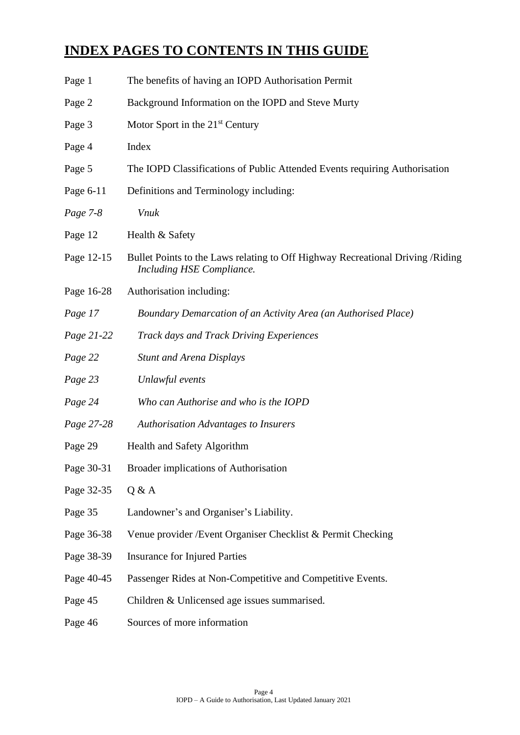# **INDEX PAGES TO CONTENTS IN THIS GUIDE**

| Page 1     | The benefits of having an IOPD Authorisation Permit                                                         |
|------------|-------------------------------------------------------------------------------------------------------------|
| Page 2     | Background Information on the IOPD and Steve Murty                                                          |
| Page 3     | Motor Sport in the $21st$ Century                                                                           |
| Page 4     | Index                                                                                                       |
| Page 5     | The IOPD Classifications of Public Attended Events requiring Authorisation                                  |
| Page 6-11  | Definitions and Terminology including:                                                                      |
| Page 7-8   | <b>Vnuk</b>                                                                                                 |
| Page 12    | Health & Safety                                                                                             |
| Page 12-15 | Bullet Points to the Laws relating to Off Highway Recreational Driving /Riding<br>Including HSE Compliance. |
| Page 16-28 | Authorisation including:                                                                                    |
| Page 17    | Boundary Demarcation of an Activity Area (an Authorised Place)                                              |
| Page 21-22 | <b>Track days and Track Driving Experiences</b>                                                             |
| Page 22    | <b>Stunt and Arena Displays</b>                                                                             |
| Page 23    | Unlawful events                                                                                             |
| Page 24    | Who can Authorise and who is the IOPD                                                                       |
| Page 27-28 | <b>Authorisation Advantages to Insurers</b>                                                                 |
| Page 29    | Health and Safety Algorithm                                                                                 |
| Page 30-31 | Broader implications of Authorisation                                                                       |
| Page 32-35 | Q & A                                                                                                       |
| Page 35    | Landowner's and Organiser's Liability.                                                                      |
| Page 36-38 | Venue provider / Event Organiser Checklist & Permit Checking                                                |
| Page 38-39 | <b>Insurance for Injured Parties</b>                                                                        |
| Page 40-45 | Passenger Rides at Non-Competitive and Competitive Events.                                                  |
| Page 45    | Children & Unlicensed age issues summarised.                                                                |
| Page 46    | Sources of more information                                                                                 |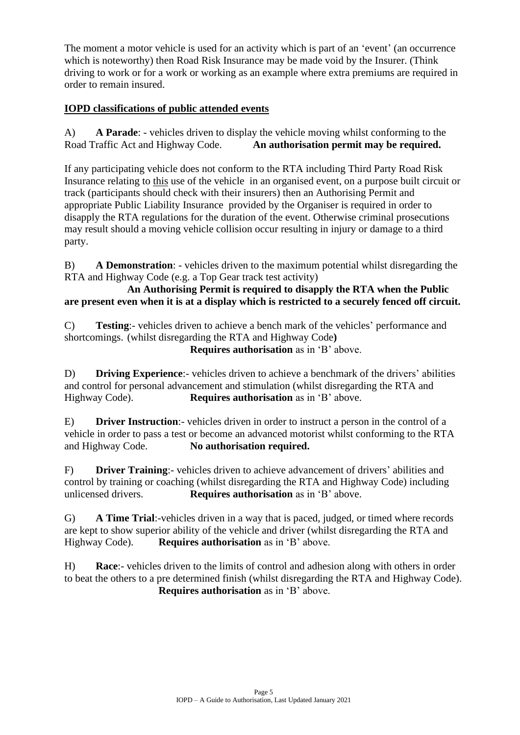The moment a motor vehicle is used for an activity which is part of an 'event' (an occurrence which is noteworthy) then Road Risk Insurance may be made void by the Insurer. (Think driving to work or for a work or working as an example where extra premiums are required in order to remain insured.

#### **IOPD classifications of public attended events**

A) **A Parade**: - vehicles driven to display the vehicle moving whilst conforming to the Road Traffic Act and Highway Code. **An authorisation permit may be required.** 

If any participating vehicle does not conform to the RTA including Third Party Road Risk Insurance relating to this use of the vehicle in an organised event, on a purpose built circuit or track (participants should check with their insurers) then an Authorising Permit and appropriate Public Liability Insurance provided by the Organiser is required in order to disapply the RTA regulations for the duration of the event. Otherwise criminal prosecutions may result should a moving vehicle collision occur resulting in injury or damage to a third party.

B) **A Demonstration**: - vehicles driven to the maximum potential whilst disregarding the RTA and Highway Code (e.g. a Top Gear track test activity)

#### **An Authorising Permit is required to disapply the RTA when the Public are present even when it is at a display which is restricted to a securely fenced off circuit.**

C) **Testing**:- vehicles driven to achieve a bench mark of the vehicles' performance and shortcomings. (whilst disregarding the RTA and Highway Code**) Requires authorisation** as in 'B' above.

D) **Driving Experience**:- vehicles driven to achieve a benchmark of the drivers' abilities and control for personal advancement and stimulation (whilst disregarding the RTA and Highway Code). **Requires authorisation** as in 'B' above.

E) **Driver Instruction**:- vehicles driven in order to instruct a person in the control of a vehicle in order to pass a test or become an advanced motorist whilst conforming to the RTA and Highway Code. **No authorisation required.**

F) **Driver Training**:- vehicles driven to achieve advancement of drivers' abilities and control by training or coaching (whilst disregarding the RTA and Highway Code) including unlicensed drivers. **Requires authorisation** as in 'B' above.

G) **A Time Trial**:-vehicles driven in a way that is paced, judged, or timed where records are kept to show superior ability of the vehicle and driver (whilst disregarding the RTA and Highway Code). **Requires authorisation** as in 'B' above.

H) **Race**:- vehicles driven to the limits of control and adhesion along with others in order to beat the others to a pre determined finish (whilst disregarding the RTA and Highway Code). **Requires authorisation** as in 'B' above.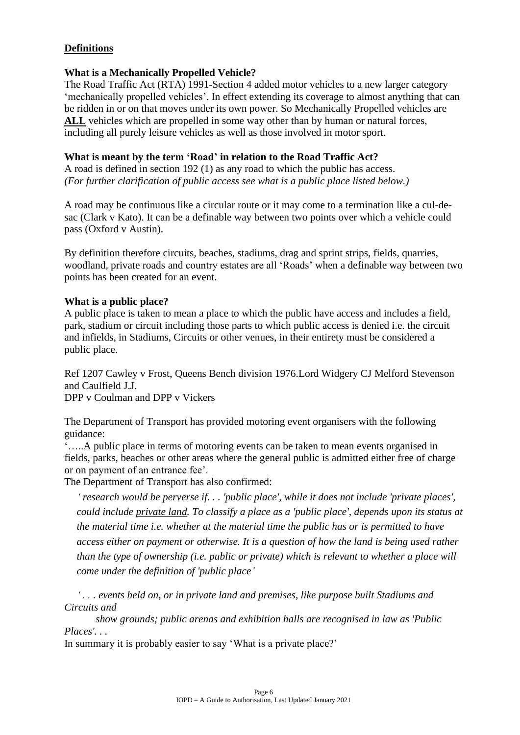#### **Definitions**

#### **What is a Mechanically Propelled Vehicle?**

The Road Traffic Act (RTA) 1991-Section 4 added motor vehicles to a new larger category 'mechanically propelled vehicles'. In effect extending its coverage to almost anything that can be ridden in or on that moves under its own power. So Mechanically Propelled vehicles are ALL vehicles which are propelled in some way other than by human or natural forces, including all purely leisure vehicles as well as those involved in motor sport.

#### **What is meant by the term 'Road' in relation to the Road Traffic Act?**

A road is defined in section 192 (1) as any road to which the public has access. *(For further clarification of public access see what is a public place listed below.)*

A road may be continuous like a circular route or it may come to a termination like a cul-desac (Clark v Kato). It can be a definable way between two points over which a vehicle could pass (Oxford v Austin).

By definition therefore circuits, beaches, stadiums, drag and sprint strips, fields, quarries, woodland, private roads and country estates are all 'Roads' when a definable way between two points has been created for an event.

#### **What is a public place?**

A public place is taken to mean a place to which the public have access and includes a field, park, stadium or circuit including those parts to which public access is denied i.e. the circuit and infields, in Stadiums, Circuits or other venues, in their entirety must be considered a public place.

Ref 1207 Cawley v Frost, Queens Bench division 1976.Lord Widgery CJ Melford Stevenson and Caulfield J.J.

DPP v Coulman and DPP v Vickers

The Department of Transport has provided motoring event organisers with the following guidance:

'…..A public place in terms of motoring events can be taken to mean events organised in fields, parks, beaches or other areas where the general public is admitted either free of charge or on payment of an entrance fee'.

The Department of Transport has also confirmed:

*' research would be perverse if. . . 'public place', while it does not include 'private places', could include private land. To classify a place as a 'public place', depends upon its status at the material time i.e. whether at the material time the public has or is permitted to have access either on payment or otherwise. It is a question of how the land is being used rather than the type of ownership (i.e. public or private) which is relevant to whether a place will come under the definition of 'public place'*

*' . . . events held on, or in private land and premises, like purpose built Stadiums and Circuits and* 

*show grounds; public arenas and exhibition halls are recognised in law as 'Public Places'. . .*

In summary it is probably easier to say 'What is a private place?'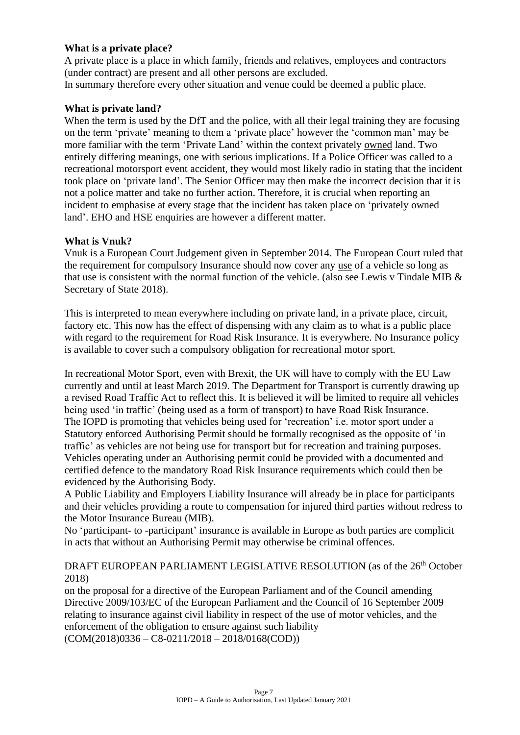#### **What is a private place?**

A private place is a place in which family, friends and relatives, employees and contractors (under contract) are present and all other persons are excluded. In summary therefore every other situation and venue could be deemed a public place.

#### **What is private land?**

When the term is used by the DfT and the police, with all their legal training they are focusing on the term 'private' meaning to them a 'private place' however the 'common man' may be more familiar with the term 'Private Land' within the context privately owned land. Two entirely differing meanings, one with serious implications. If a Police Officer was called to a recreational motorsport event accident, they would most likely radio in stating that the incident took place on 'private land'. The Senior Officer may then make the incorrect decision that it is not a police matter and take no further action. Therefore, it is crucial when reporting an incident to emphasise at every stage that the incident has taken place on 'privately owned land'. EHO and HSE enquiries are however a different matter.

#### **What is Vnuk?**

Vnuk is a European Court Judgement given in September 2014. The European Court ruled that the requirement for compulsory Insurance should now cover any use of a vehicle so long as that use is consistent with the normal function of the vehicle. (also see Lewis v Tindale MIB  $\&$ Secretary of State 2018).

This is interpreted to mean everywhere including on private land, in a private place, circuit, factory etc. This now has the effect of dispensing with any claim as to what is a public place with regard to the requirement for Road Risk Insurance. It is everywhere. No Insurance policy is available to cover such a compulsory obligation for recreational motor sport.

In recreational Motor Sport, even with Brexit, the UK will have to comply with the EU Law currently and until at least March 2019. The Department for Transport is currently drawing up a revised Road Traffic Act to reflect this. It is believed it will be limited to require all vehicles being used 'in traffic' (being used as a form of transport) to have Road Risk Insurance. The IOPD is promoting that vehicles being used for 'recreation' i.e. motor sport under a Statutory enforced Authorising Permit should be formally recognised as the opposite of 'in traffic' as vehicles are not being use for transport but for recreation and training purposes. Vehicles operating under an Authorising permit could be provided with a documented and certified defence to the mandatory Road Risk Insurance requirements which could then be evidenced by the Authorising Body.

A Public Liability and Employers Liability Insurance will already be in place for participants and their vehicles providing a route to compensation for injured third parties without redress to the Motor Insurance Bureau (MIB).

No 'participant- to -participant' insurance is available in Europe as both parties are complicit in acts that without an Authorising Permit may otherwise be criminal offences.

#### DRAFT EUROPEAN PARLIAMENT LEGISLATIVE RESOLUTION (as of the 26<sup>th</sup> October 2018)

on the proposal for a directive of the European Parliament and of the Council amending Directive 2009/103/EC of the European Parliament and the Council of 16 September 2009 relating to insurance against civil liability in respect of the use of motor vehicles, and the enforcement of the obligation to ensure against such liability  $(COM(2018)0336 - C8-0211/2018 - 2018/0168(COD))$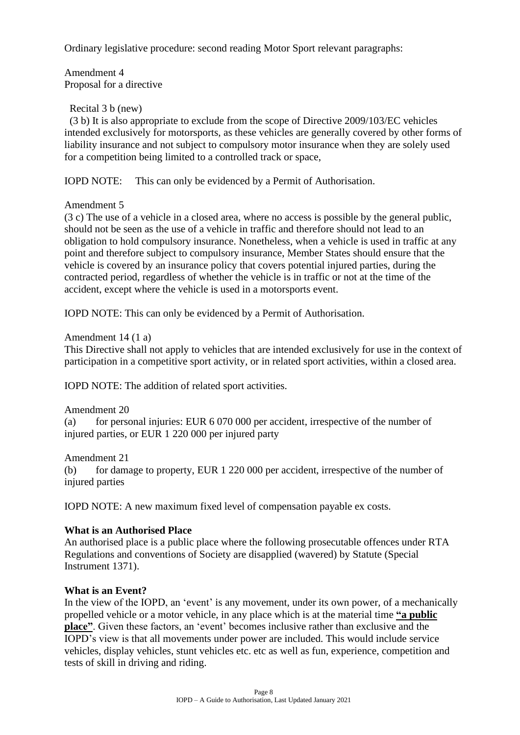Ordinary legislative procedure: second reading Motor Sport relevant paragraphs:

Amendment 4 Proposal for a directive

#### Recital 3 b (new)

 (3 b) It is also appropriate to exclude from the scope of Directive 2009/103/EC vehicles intended exclusively for motorsports, as these vehicles are generally covered by other forms of liability insurance and not subject to compulsory motor insurance when they are solely used for a competition being limited to a controlled track or space,

IOPD NOTE: This can only be evidenced by a Permit of Authorisation.

Amendment 5

(3 c) The use of a vehicle in a closed area, where no access is possible by the general public, should not be seen as the use of a vehicle in traffic and therefore should not lead to an obligation to hold compulsory insurance. Nonetheless, when a vehicle is used in traffic at any point and therefore subject to compulsory insurance, Member States should ensure that the vehicle is covered by an insurance policy that covers potential injured parties, during the contracted period, regardless of whether the vehicle is in traffic or not at the time of the accident, except where the vehicle is used in a motorsports event.

IOPD NOTE: This can only be evidenced by a Permit of Authorisation.

#### Amendment 14 (1 a)

This Directive shall not apply to vehicles that are intended exclusively for use in the context of participation in a competitive sport activity, or in related sport activities, within a closed area.

IOPD NOTE: The addition of related sport activities.

#### Amendment 20

(a) for personal injuries: EUR 6 070 000 per accident, irrespective of the number of injured parties, or EUR 1 220 000 per injured party

Amendment 21

(b) for damage to property, EUR 1 220 000 per accident, irrespective of the number of injured parties

IOPD NOTE: A new maximum fixed level of compensation payable ex costs.

#### **What is an Authorised Place**

An authorised place is a public place where the following prosecutable offences under RTA Regulations and conventions of Society are disapplied (wavered) by Statute (Special Instrument 1371).

#### **What is an Event?**

In the view of the IOPD, an 'event' is any movement, under its own power, of a mechanically propelled vehicle or a motor vehicle, in any place which is at the material time **"a public place"**. Given these factors, an 'event' becomes inclusive rather than exclusive and the IOPD's view is that all movements under power are included. This would include service vehicles, display vehicles, stunt vehicles etc. etc as well as fun, experience, competition and tests of skill in driving and riding.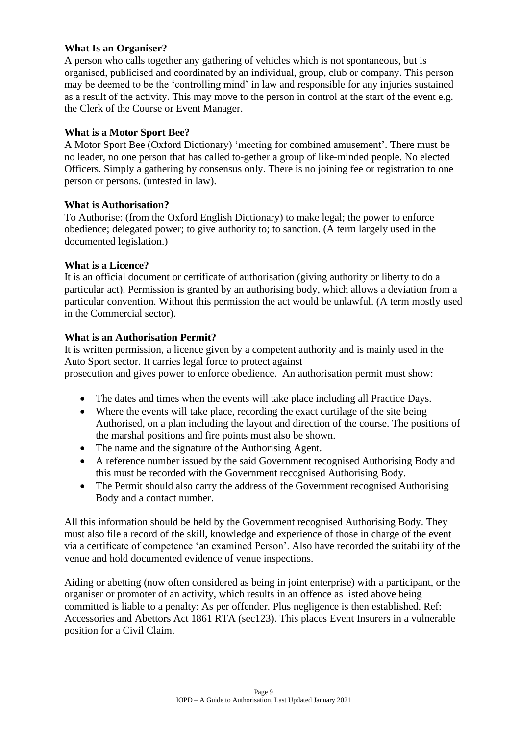#### **What Is an Organiser?**

A person who calls together any gathering of vehicles which is not spontaneous, but is organised, publicised and coordinated by an individual, group, club or company. This person may be deemed to be the 'controlling mind' in law and responsible for any injuries sustained as a result of the activity. This may move to the person in control at the start of the event e.g. the Clerk of the Course or Event Manager.

#### **What is a Motor Sport Bee?**

A Motor Sport Bee (Oxford Dictionary) 'meeting for combined amusement'. There must be no leader, no one person that has called to-gether a group of like-minded people. No elected Officers. Simply a gathering by consensus only. There is no joining fee or registration to one person or persons. (untested in law).

#### **What is Authorisation?**

To Authorise: (from the Oxford English Dictionary) to make legal; the power to enforce obedience; delegated power; to give authority to; to sanction. (A term largely used in the documented legislation.)

#### **What is a Licence?**

It is an official document or certificate of authorisation (giving authority or liberty to do a particular act). Permission is granted by an authorising body, which allows a deviation from a particular convention. Without this permission the act would be unlawful. (A term mostly used in the Commercial sector).

#### **What is an Authorisation Permit?**

It is written permission, a licence given by a competent authority and is mainly used in the Auto Sport sector. It carries legal force to protect against prosecution and gives power to enforce obedience. An authorisation permit must show:

- The dates and times when the events will take place including all Practice Days.
- Where the events will take place, recording the exact curtilage of the site being Authorised, on a plan including the layout and direction of the course. The positions of the marshal positions and fire points must also be shown.
- The name and the signature of the Authorising Agent.
- A reference number issued by the said Government recognised Authorising Body and this must be recorded with the Government recognised Authorising Body.
- The Permit should also carry the address of the Government recognised Authorising Body and a contact number.

All this information should be held by the Government recognised Authorising Body. They must also file a record of the skill, knowledge and experience of those in charge of the event via a certificate of competence 'an examined Person'. Also have recorded the suitability of the venue and hold documented evidence of venue inspections.

Aiding or abetting (now often considered as being in joint enterprise) with a participant, or the organiser or promoter of an activity, which results in an offence as listed above being committed is liable to a penalty: As per offender. Plus negligence is then established. Ref: Accessories and Abettors Act 1861 RTA (sec123). This places Event Insurers in a vulnerable position for a Civil Claim.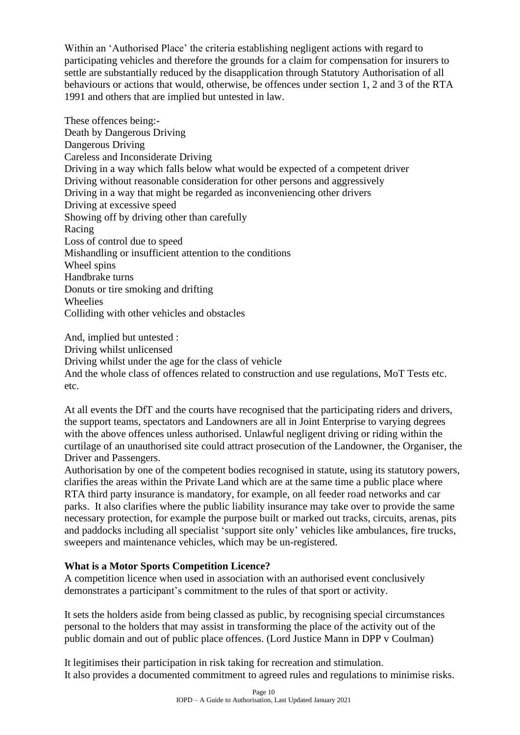Within an 'Authorised Place' the criteria establishing negligent actions with regard to participating vehicles and therefore the grounds for a claim for compensation for insurers to settle are substantially reduced by the disapplication through Statutory Authorisation of all behaviours or actions that would, otherwise, be offences under section 1, 2 and 3 of the RTA 1991 and others that are implied but untested in law.

These offences being:- Death by Dangerous Driving Dangerous Driving Careless and Inconsiderate Driving Driving in a way which falls below what would be expected of a competent driver Driving without reasonable consideration for other persons and aggressively Driving in a way that might be regarded as inconveniencing other drivers Driving at excessive speed Showing off by driving other than carefully Racing Loss of control due to speed Mishandling or insufficient attention to the conditions Wheel spins Handbrake turns Donuts or tire smoking and drifting Wheelies Colliding with other vehicles and obstacles

And, implied but untested : Driving whilst unlicensed Driving whilst under the age for the class of vehicle And the whole class of offences related to construction and use regulations, MoT Tests etc. etc.

At all events the DfT and the courts have recognised that the participating riders and drivers, the support teams, spectators and Landowners are all in Joint Enterprise to varying degrees with the above offences unless authorised. Unlawful negligent driving or riding within the curtilage of an unauthorised site could attract prosecution of the Landowner, the Organiser, the Driver and Passengers.

Authorisation by one of the competent bodies recognised in statute, using its statutory powers, clarifies the areas within the Private Land which are at the same time a public place where RTA third party insurance is mandatory, for example, on all feeder road networks and car parks. It also clarifies where the public liability insurance may take over to provide the same necessary protection, for example the purpose built or marked out tracks, circuits, arenas, pits and paddocks including all specialist 'support site only' vehicles like ambulances, fire trucks, sweepers and maintenance vehicles, which may be un-registered.

#### **What is a Motor Sports Competition Licence?**

A competition licence when used in association with an authorised event conclusively demonstrates a participant's commitment to the rules of that sport or activity.

It sets the holders aside from being classed as public, by recognising special circumstances personal to the holders that may assist in transforming the place of the activity out of the public domain and out of public place offences. (Lord Justice Mann in DPP v Coulman)

It legitimises their participation in risk taking for recreation and stimulation. It also provides a documented commitment to agreed rules and regulations to minimise risks.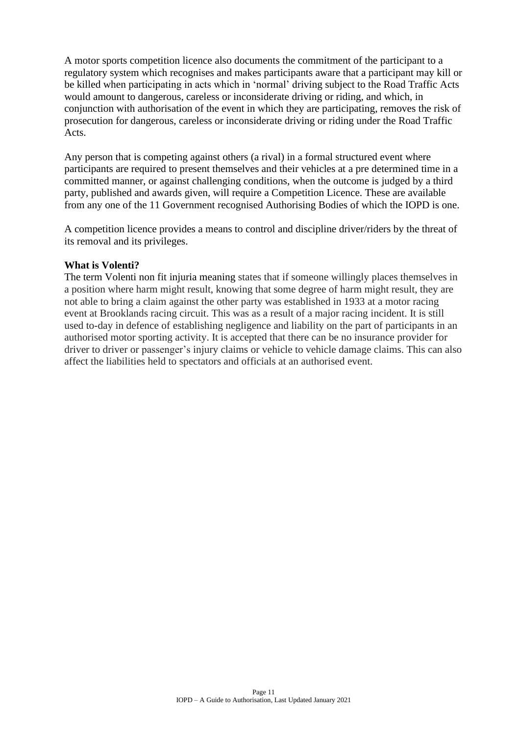A motor sports competition licence also documents the commitment of the participant to a regulatory system which recognises and makes participants aware that a participant may kill or be killed when participating in acts which in 'normal' driving subject to the Road Traffic Acts would amount to dangerous, careless or inconsiderate driving or riding, and which, in conjunction with authorisation of the event in which they are participating, removes the risk of prosecution for dangerous, careless or inconsiderate driving or riding under the Road Traffic Acts.

Any person that is competing against others (a rival) in a formal structured event where participants are required to present themselves and their vehicles at a pre determined time in a committed manner, or against challenging conditions, when the outcome is judged by a third party, published and awards given, will require a Competition Licence. These are available from any one of the 11 Government recognised Authorising Bodies of which the IOPD is one.

A competition licence provides a means to control and discipline driver/riders by the threat of its removal and its privileges.

#### **What is Volenti?**

The term Volenti non fit injuria meaning states that if someone willingly places themselves in a position where harm might result, knowing that some degree of harm might result, they are not able to bring a claim against the other party was established in 1933 at a motor racing event at Brooklands racing circuit. This was as a result of a major racing incident. It is still used to-day in defence of establishing negligence and liability on the part of participants in an authorised motor sporting activity. It is accepted that there can be no insurance provider for driver to driver or passenger's injury claims or vehicle to vehicle damage claims. This can also affect the liabilities held to spectators and officials at an authorised event.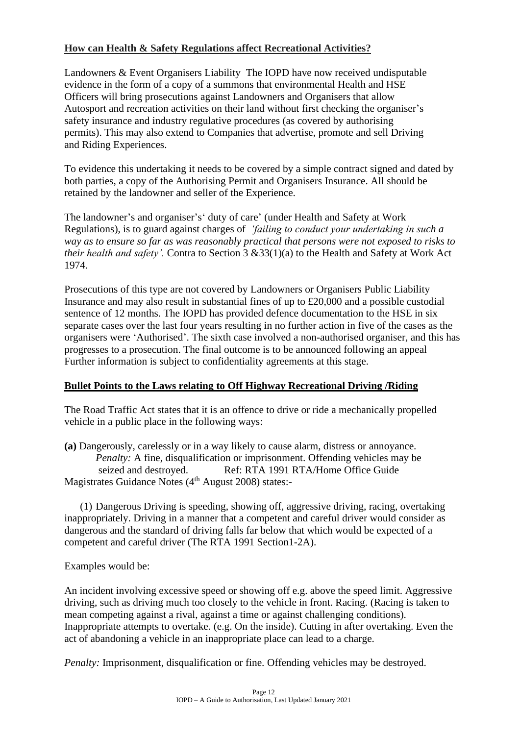#### **How can Health & Safety Regulations affect Recreational Activities?**

Landowners & Event Organisers Liability The IOPD have now received undisputable evidence in the form of a copy of a summons that environmental Health and HSE Officers will bring prosecutions against Landowners and Organisers that allow Autosport and recreation activities on their land without first checking the organiser's safety insurance and industry regulative procedures (as covered by authorising permits). This may also extend to Companies that advertise, promote and sell Driving and Riding Experiences.

To evidence this undertaking it needs to be covered by a simple contract signed and dated by both parties, a copy of the Authorising Permit and Organisers Insurance. All should be retained by the landowner and seller of the Experience.

The landowner's and organiser's' duty of care' (under Health and Safety at Work Regulations), is to guard against charges of *'failing to conduct your undertaking in such a way as to ensure so far as was reasonably practical that persons were not exposed to risks to their health and safety'.* Contra to Section 3 &33(1)(a) to the Health and Safety at Work Act 1974.

Prosecutions of this type are not covered by Landowners or Organisers Public Liability Insurance and may also result in substantial fines of up to £20,000 and a possible custodial sentence of 12 months. The IOPD has provided defence documentation to the HSE in six separate cases over the last four years resulting in no further action in five of the cases as the organisers were 'Authorised'. The sixth case involved a non-authorised organiser, and this has progresses to a prosecution. The final outcome is to be announced following an appeal Further information is subject to confidentiality agreements at this stage.

#### **Bullet Points to the Laws relating to Off Highway Recreational Driving /Riding**

The Road Traffic Act states that it is an offence to drive or ride a mechanically propelled vehicle in a public place in the following ways:

**(a)** Dangerously, carelessly or in a way likely to cause alarm, distress or annoyance. *Penalty:* A fine, disqualification or imprisonment. Offending vehicles may be seized and destroyed. Ref: RTA 1991 RTA/Home Office Guide Magistrates Guidance Notes (4<sup>th</sup> August 2008) states:-

(1) Dangerous Driving is speeding, showing off, aggressive driving, racing, overtaking inappropriately. Driving in a manner that a competent and careful driver would consider as dangerous and the standard of driving falls far below that which would be expected of a competent and careful driver (The RTA 1991 Section1-2A).

Examples would be:

An incident involving excessive speed or showing off e.g. above the speed limit. Aggressive driving, such as driving much too closely to the vehicle in front. Racing. (Racing is taken to mean competing against a rival, against a time or against challenging conditions). Inappropriate attempts to overtake. (e.g. On the inside). Cutting in after overtaking. Even the act of abandoning a vehicle in an inappropriate place can lead to a charge.

*Penalty:* Imprisonment, disqualification or fine. Offending vehicles may be destroyed.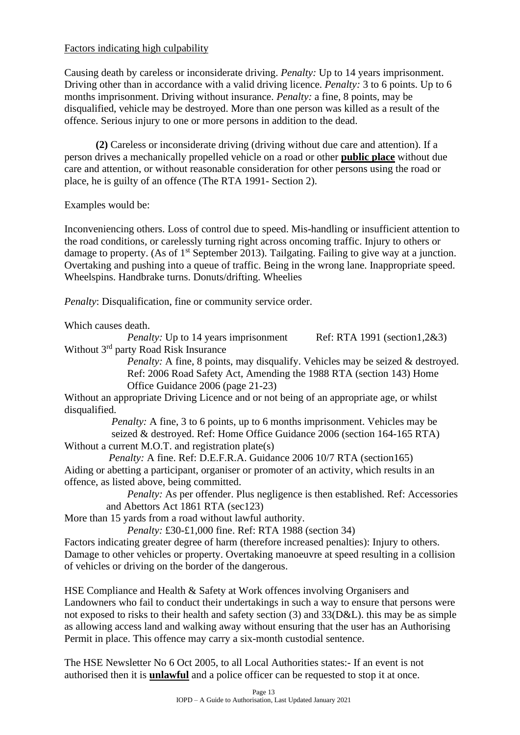#### Factors indicating high culpability

Causing death by careless or inconsiderate driving. *Penalty:* Up to 14 years imprisonment. Driving other than in accordance with a valid driving licence. *Penalty:* 3 to 6 points. Up to 6 months imprisonment. Driving without insurance. *Penalty:* a fine, 8 points, may be disqualified, vehicle may be destroyed. More than one person was killed as a result of the offence. Serious injury to one or more persons in addition to the dead.

**(2)** Careless or inconsiderate driving (driving without due care and attention). If a person drives a mechanically propelled vehicle on a road or other **public place** without due care and attention, or without reasonable consideration for other persons using the road or place, he is guilty of an offence (The RTA 1991- Section 2).

Examples would be:

Inconveniencing others. Loss of control due to speed. Mis-handling or insufficient attention to the road conditions, or carelessly turning right across oncoming traffic. Injury to others or damage to property. (As of  $1<sup>st</sup>$  September 2013). Tailgating. Failing to give way at a junction. Overtaking and pushing into a queue of traffic. Being in the wrong lane. Inappropriate speed. Wheelspins. Handbrake turns. Donuts/drifting. Wheelies

*Penalty*: Disqualification, fine or community service order.

Which causes death.

*Penalty:* Up to 14 years imprisonment Ref: RTA 1991 (section1,2&3) Without 3<sup>rd</sup> party Road Risk Insurance

*Penalty:* A fine, 8 points, may disqualify. Vehicles may be seized & destroyed. Ref: 2006 Road Safety Act, Amending the 1988 RTA (section 143) Home Office Guidance 2006 (page 21-23)

Without an appropriate Driving Licence and or not being of an appropriate age, or whilst disqualified.

*Penalty:* A fine, 3 to 6 points, up to 6 months imprisonment. Vehicles may be seized & destroyed. Ref: Home Office Guidance 2006 (section 164-165 RTA) Without a current M.O.T. and registration plate(s)

*Penalty:* A fine. Ref: D.E.F.R.A. Guidance 2006 10/7 RTA (section165) Aiding or abetting a participant, organiser or promoter of an activity, which results in an offence, as listed above, being committed.

*Penalty:* As per offender. Plus negligence is then established. Ref: Accessories and Abettors Act 1861 RTA (sec123)

More than 15 yards from a road without lawful authority.

*Penalty:* £30-£1,000 fine. Ref: RTA 1988 (section 34)

Factors indicating greater degree of harm (therefore increased penalties): Injury to others. Damage to other vehicles or property. Overtaking manoeuvre at speed resulting in a collision of vehicles or driving on the border of the dangerous.

HSE Compliance and Health & Safety at Work offences involving Organisers and Landowners who fail to conduct their undertakings in such a way to ensure that persons were not exposed to risks to their health and safety section (3) and 33(D&L). this may be as simple as allowing access land and walking away without ensuring that the user has an Authorising Permit in place. This offence may carry a six-month custodial sentence.

The HSE Newsletter No 6 Oct 2005, to all Local Authorities states:- If an event is not authorised then it is **unlawful** and a police officer can be requested to stop it at once.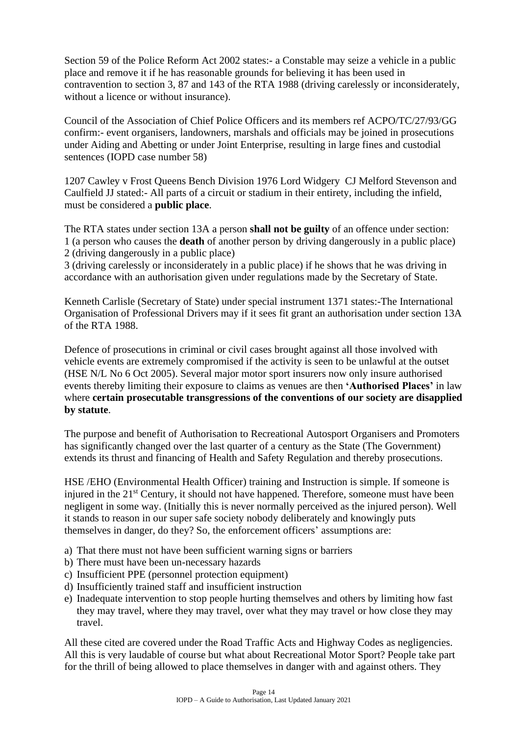Section 59 of the Police Reform Act 2002 states:- a Constable may seize a vehicle in a public place and remove it if he has reasonable grounds for believing it has been used in contravention to section 3, 87 and 143 of the RTA 1988 (driving carelessly or inconsiderately, without a licence or without insurance).

Council of the Association of Chief Police Officers and its members ref ACPO/TC/27/93/GG confirm:- event organisers, landowners, marshals and officials may be joined in prosecutions under Aiding and Abetting or under Joint Enterprise, resulting in large fines and custodial sentences (IOPD case number 58)

1207 Cawley v Frost Queens Bench Division 1976 Lord Widgery CJ Melford Stevenson and Caulfield JJ stated:- All parts of a circuit or stadium in their entirety, including the infield, must be considered a **public place**.

The RTA states under section 13A a person **shall not be guilty** of an offence under section: 1 (a person who causes the **death** of another person by driving dangerously in a public place) 2 (driving dangerously in a public place)

3 (driving carelessly or inconsiderately in a public place) if he shows that he was driving in accordance with an authorisation given under regulations made by the Secretary of State.

Kenneth Carlisle (Secretary of State) under special instrument 1371 states:-The International Organisation of Professional Drivers may if it sees fit grant an authorisation under section 13A of the RTA 1988.

Defence of prosecutions in criminal or civil cases brought against all those involved with vehicle events are extremely compromised if the activity is seen to be unlawful at the outset (HSE N/L No 6 Oct 2005). Several major motor sport insurers now only insure authorised events thereby limiting their exposure to claims as venues are then **'Authorised Places'** in law where **certain prosecutable transgressions of the conventions of our society are disapplied by statute**.

The purpose and benefit of Authorisation to Recreational Autosport Organisers and Promoters has significantly changed over the last quarter of a century as the State (The Government) extends its thrust and financing of Health and Safety Regulation and thereby prosecutions.

HSE /EHO (Environmental Health Officer) training and Instruction is simple. If someone is injured in the 21<sup>st</sup> Century, it should not have happened. Therefore, someone must have been negligent in some way. (Initially this is never normally perceived as the injured person). Well it stands to reason in our super safe society nobody deliberately and knowingly puts themselves in danger, do they? So, the enforcement officers' assumptions are:

- a) That there must not have been sufficient warning signs or barriers
- b) There must have been un-necessary hazards
- c) Insufficient PPE (personnel protection equipment)
- d) Insufficiently trained staff and insufficient instruction
- e) Inadequate intervention to stop people hurting themselves and others by limiting how fast they may travel, where they may travel, over what they may travel or how close they may travel.

All these cited are covered under the Road Traffic Acts and Highway Codes as negligencies. All this is very laudable of course but what about Recreational Motor Sport? People take part for the thrill of being allowed to place themselves in danger with and against others. They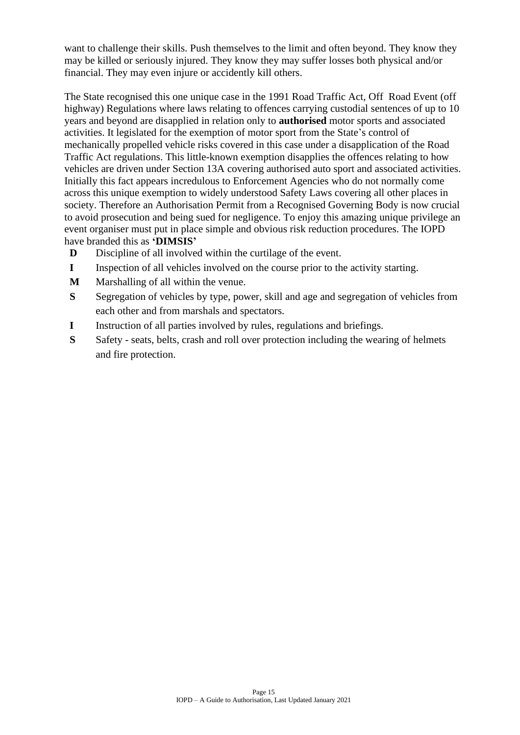want to challenge their skills. Push themselves to the limit and often beyond. They know they may be killed or seriously injured. They know they may suffer losses both physical and/or financial. They may even injure or accidently kill others.

The State recognised this one unique case in the 1991 Road Traffic Act, Off Road Event (off highway) Regulations where laws relating to offences carrying custodial sentences of up to 10 years and beyond are disapplied in relation only to **authorised** motor sports and associated activities. It legislated for the exemption of motor sport from the State's control of mechanically propelled vehicle risks covered in this case under a disapplication of the Road Traffic Act regulations. This little-known exemption disapplies the offences relating to how vehicles are driven under Section 13A covering authorised auto sport and associated activities. Initially this fact appears incredulous to Enforcement Agencies who do not normally come across this unique exemption to widely understood Safety Laws covering all other places in society. Therefore an Authorisation Permit from a Recognised Governing Body is now crucial to avoid prosecution and being sued for negligence. To enjoy this amazing unique privilege an event organiser must put in place simple and obvious risk reduction procedures. The IOPD have branded this as **'DIMSIS'**

- **D** Discipline of all involved within the curtilage of the event.
- **I** Inspection of all vehicles involved on the course prior to the activity starting.
- **M** Marshalling of all within the venue.
- **S** Segregation of vehicles by type, power, skill and age and segregation of vehicles from each other and from marshals and spectators.
- **I** Instruction of all parties involved by rules, regulations and briefings.
- **S** Safety seats, belts, crash and roll over protection including the wearing of helmets and fire protection.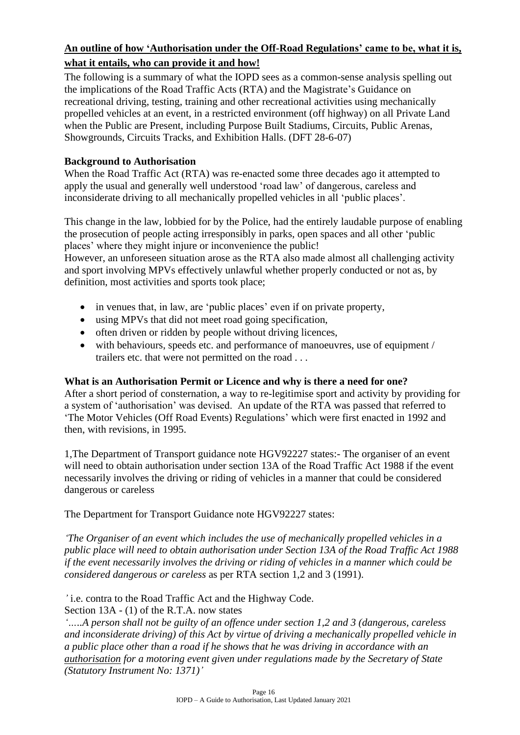#### **An outline of how 'Authorisation under the Off-Road Regulations' came to be, what it is, what it entails, who can provide it and how!**

The following is a summary of what the IOPD sees as a common-sense analysis spelling out the implications of the Road Traffic Acts (RTA) and the Magistrate's Guidance on recreational driving, testing, training and other recreational activities using mechanically propelled vehicles at an event, in a restricted environment (off highway) on all Private Land when the Public are Present, including Purpose Built Stadiums, Circuits, Public Arenas, Showgrounds, Circuits Tracks, and Exhibition Halls. (DFT 28-6-07)

#### **Background to Authorisation**

When the Road Traffic Act (RTA) was re-enacted some three decades ago it attempted to apply the usual and generally well understood 'road law' of dangerous, careless and inconsiderate driving to all mechanically propelled vehicles in all 'public places'.

This change in the law, lobbied for by the Police, had the entirely laudable purpose of enabling the prosecution of people acting irresponsibly in parks, open spaces and all other 'public places' where they might injure or inconvenience the public!

However, an unforeseen situation arose as the RTA also made almost all challenging activity and sport involving MPVs effectively unlawful whether properly conducted or not as, by definition, most activities and sports took place;

- in venues that, in law, are 'public places' even if on private property,
- using MPVs that did not meet road going specification,
- often driven or ridden by people without driving licences,
- with behaviours, speeds etc. and performance of manoeuvres, use of equipment / trailers etc. that were not permitted on the road . . .

#### **What is an Authorisation Permit or Licence and why is there a need for one?**

After a short period of consternation, a way to re-legitimise sport and activity by providing for a system of 'authorisation' was devised. An update of the RTA was passed that referred to 'The Motor Vehicles (Off Road Events) Regulations' which were first enacted in 1992 and then, with revisions, in 1995.

1,The Department of Transport guidance note HGV92227 states:- The organiser of an event will need to obtain authorisation under section 13A of the Road Traffic Act 1988 if the event necessarily involves the driving or riding of vehicles in a manner that could be considered dangerous or careless

The Department for Transport Guidance note HGV92227 states:

*'The Organiser of an event which includes the use of mechanically propelled vehicles in a public place will need to obtain authorisation under Section 13A of the Road Traffic Act 1988 if the event necessarily involves the driving or riding of vehicles in a manner which could be considered dangerous or careless* as per RTA section 1,2 and 3 (1991).

*'* i.e. contra to the Road Traffic Act and the Highway Code.

Section 13A - (1) of the R.T.A. now states

*'…..A person shall not be guilty of an offence under section 1,2 and 3 (dangerous, careless and inconsiderate driving) of this Act by virtue of driving a mechanically propelled vehicle in a public place other than a road if he shows that he was driving in accordance with an authorisation for a motoring event given under regulations made by the Secretary of State (Statutory Instrument No: 1371)'*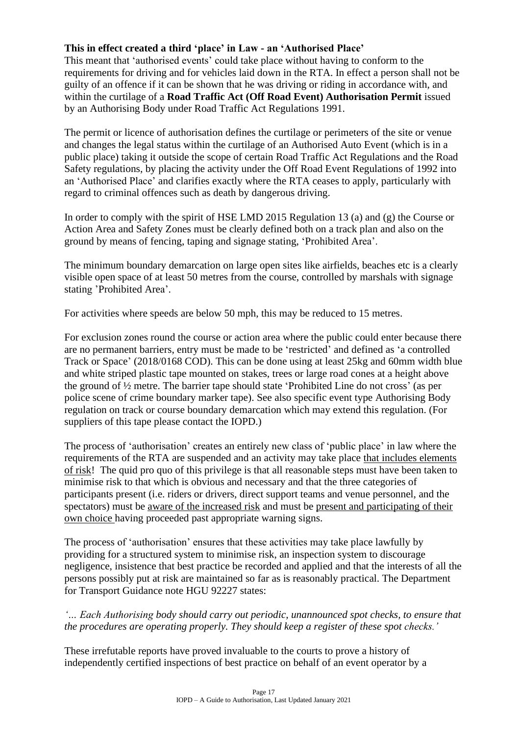#### **This in effect created a third 'place' in Law - an 'Authorised Place'**

This meant that 'authorised events' could take place without having to conform to the requirements for driving and for vehicles laid down in the RTA. In effect a person shall not be guilty of an offence if it can be shown that he was driving or riding in accordance with, and within the curtilage of a **Road Traffic Act (Off Road Event) Authorisation Permit** issued by an Authorising Body under Road Traffic Act Regulations 1991.

The permit or licence of authorisation defines the curtilage or perimeters of the site or venue and changes the legal status within the curtilage of an Authorised Auto Event (which is in a public place) taking it outside the scope of certain Road Traffic Act Regulations and the Road Safety regulations, by placing the activity under the Off Road Event Regulations of 1992 into an 'Authorised Place' and clarifies exactly where the RTA ceases to apply, particularly with regard to criminal offences such as death by dangerous driving.

In order to comply with the spirit of HSE LMD 2015 Regulation 13 (a) and (g) the Course or Action Area and Safety Zones must be clearly defined both on a track plan and also on the ground by means of fencing, taping and signage stating, 'Prohibited Area'.

The minimum boundary demarcation on large open sites like airfields, beaches etc is a clearly visible open space of at least 50 metres from the course, controlled by marshals with signage stating 'Prohibited Area'.

For activities where speeds are below 50 mph, this may be reduced to 15 metres.

For exclusion zones round the course or action area where the public could enter because there are no permanent barriers, entry must be made to be 'restricted' and defined as 'a controlled Track or Space' (2018/0168 COD). This can be done using at least 25kg and 60mm width blue and white striped plastic tape mounted on stakes, trees or large road cones at a height above the ground of ½ metre. The barrier tape should state 'Prohibited Line do not cross' (as per police scene of crime boundary marker tape). See also specific event type Authorising Body regulation on track or course boundary demarcation which may extend this regulation. (For suppliers of this tape please contact the IOPD.)

The process of 'authorisation' creates an entirely new class of 'public place' in law where the requirements of the RTA are suspended and an activity may take place that includes elements of risk! The quid pro quo of this privilege is that all reasonable steps must have been taken to minimise risk to that which is obvious and necessary and that the three categories of participants present (i.e. riders or drivers, direct support teams and venue personnel, and the spectators) must be aware of the increased risk and must be present and participating of their own choice having proceeded past appropriate warning signs.

The process of 'authorisation' ensures that these activities may take place lawfully by providing for a structured system to minimise risk, an inspection system to discourage negligence, insistence that best practice be recorded and applied and that the interests of all the persons possibly put at risk are maintained so far as is reasonably practical. The Department for Transport Guidance note HGU 92227 states:

*'… Each Authorising body should carry out periodic, unannounced spot checks, to ensure that the procedures are operating properly. They should keep a register of these spot checks.'*

These irrefutable reports have proved invaluable to the courts to prove a history of independently certified inspections of best practice on behalf of an event operator by a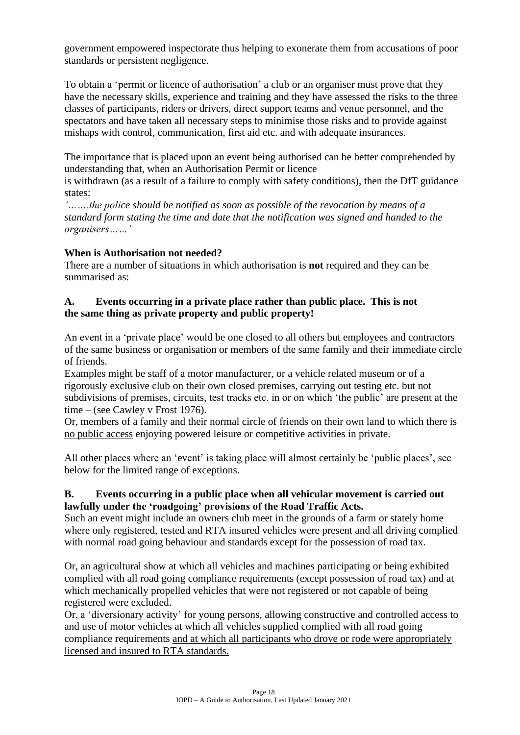government empowered inspectorate thus helping to exonerate them from accusations of poor standards or persistent negligence.

To obtain a 'permit or licence of authorisation' a club or an organiser must prove that they have the necessary skills, experience and training and they have assessed the risks to the three classes of participants, riders or drivers, direct support teams and venue personnel, and the spectators and have taken all necessary steps to minimise those risks and to provide against mishaps with control, communication, first aid etc. and with adequate insurances.

The importance that is placed upon an event being authorised can be better comprehended by understanding that, when an Authorisation Permit or licence

is withdrawn (as a result of a failure to comply with safety conditions), then the DfT guidance states:

*'…….the police should be notified as soon as possible of the revocation by means of a standard form stating the time and date that the notification was signed and handed to the organisers……'*

#### **When is Authorisation not needed?**

There are a number of situations in which authorisation is **not** required and they can be summarised as:

#### **A. Events occurring in a private place rather than public place. This is not the same thing as private property and public property!**

An event in a 'private place' would be one closed to all others but employees and contractors of the same business or organisation or members of the same family and their immediate circle of friends.

Examples might be staff of a motor manufacturer, or a vehicle related museum or of a rigorously exclusive club on their own closed premises, carrying out testing etc. but not subdivisions of premises, circuits, test tracks etc. in or on which 'the public' are present at the time – (see Cawley v Frost 1976).

Or, members of a family and their normal circle of friends on their own land to which there is no public access enjoying powered leisure or competitive activities in private.

All other places where an 'event' is taking place will almost certainly be 'public places', see below for the limited range of exceptions.

#### **B. Events occurring in a public place when all vehicular movement is carried out lawfully under the 'roadgoing' provisions of the Road Traffic Acts.**

Such an event might include an owners club meet in the grounds of a farm or stately home where only registered, tested and RTA insured vehicles were present and all driving complied with normal road going behaviour and standards except for the possession of road tax.

Or, an agricultural show at which all vehicles and machines participating or being exhibited complied with all road going compliance requirements (except possession of road tax) and at which mechanically propelled vehicles that were not registered or not capable of being registered were excluded.

Or, a 'diversionary activity' for young persons, allowing constructive and controlled access to and use of motor vehicles at which all vehicles supplied complied with all road going compliance requirements and at which all participants who drove or rode were appropriately licensed and insured to RTA standards.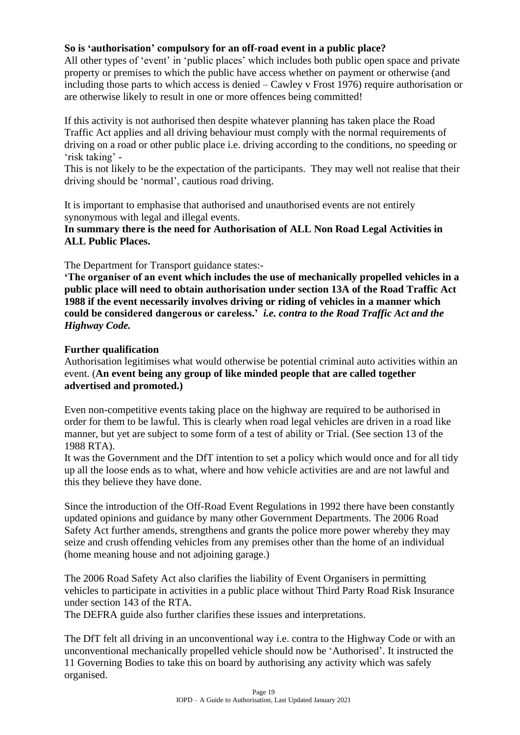#### **So is 'authorisation' compulsory for an off-road event in a public place?**

All other types of 'event' in 'public places' which includes both public open space and private property or premises to which the public have access whether on payment or otherwise (and including those parts to which access is denied – Cawley v Frost 1976) require authorisation or are otherwise likely to result in one or more offences being committed!

If this activity is not authorised then despite whatever planning has taken place the Road Traffic Act applies and all driving behaviour must comply with the normal requirements of driving on a road or other public place i.e. driving according to the conditions, no speeding or 'risk taking' -

This is not likely to be the expectation of the participants. They may well not realise that their driving should be 'normal', cautious road driving.

It is important to emphasise that authorised and unauthorised events are not entirely synonymous with legal and illegal events.

**In summary there is the need for Authorisation of ALL Non Road Legal Activities in ALL Public Places.**

The Department for Transport guidance states:-

**'The organiser of an event which includes the use of mechanically propelled vehicles in a public place will need to obtain authorisation under section 13A of the Road Traffic Act 1988 if the event necessarily involves driving or riding of vehicles in a manner which could be considered dangerous or careless.'** *i.e. contra to the Road Traffic Act and the Highway Code.*

#### **Further qualification**

Authorisation legitimises what would otherwise be potential criminal auto activities within an event. (**An event being any group of like minded people that are called together advertised and promoted.)**

Even non-competitive events taking place on the highway are required to be authorised in order for them to be lawful. This is clearly when road legal vehicles are driven in a road like manner, but yet are subject to some form of a test of ability or Trial. (See section 13 of the 1988 RTA).

It was the Government and the DfT intention to set a policy which would once and for all tidy up all the loose ends as to what, where and how vehicle activities are and are not lawful and this they believe they have done.

Since the introduction of the Off-Road Event Regulations in 1992 there have been constantly updated opinions and guidance by many other Government Departments. The 2006 Road Safety Act further amends, strengthens and grants the police more power whereby they may seize and crush offending vehicles from any premises other than the home of an individual (home meaning house and not adjoining garage.)

The 2006 Road Safety Act also clarifies the liability of Event Organisers in permitting vehicles to participate in activities in a public place without Third Party Road Risk Insurance under section 143 of the RTA.

The DEFRA guide also further clarifies these issues and interpretations.

The DfT felt all driving in an unconventional way i.e. contra to the Highway Code or with an unconventional mechanically propelled vehicle should now be 'Authorised'. It instructed the 11 Governing Bodies to take this on board by authorising any activity which was safely organised.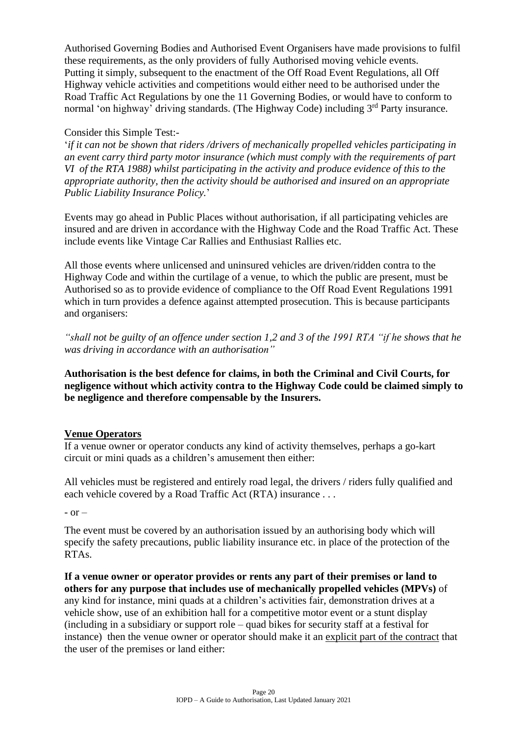Authorised Governing Bodies and Authorised Event Organisers have made provisions to fulfil these requirements, as the only providers of fully Authorised moving vehicle events. Putting it simply, subsequent to the enactment of the Off Road Event Regulations, all Off Highway vehicle activities and competitions would either need to be authorised under the Road Traffic Act Regulations by one the 11 Governing Bodies, or would have to conform to normal 'on highway' driving standards. (The Highway Code) including 3<sup>rd</sup> Party insurance.

#### Consider this Simple Test:-

'*if it can not be shown that riders /drivers of mechanically propelled vehicles participating in an event carry third party motor insurance (which must comply with the requirements of part VI of the RTA 1988) whilst participating in the activity and produce evidence of this to the appropriate authority, then the activity should be authorised and insured on an appropriate Public Liability Insurance Policy.*'

Events may go ahead in Public Places without authorisation, if all participating vehicles are insured and are driven in accordance with the Highway Code and the Road Traffic Act. These include events like Vintage Car Rallies and Enthusiast Rallies etc.

All those events where unlicensed and uninsured vehicles are driven/ridden contra to the Highway Code and within the curtilage of a venue, to which the public are present, must be Authorised so as to provide evidence of compliance to the Off Road Event Regulations 1991 which in turn provides a defence against attempted prosecution. This is because participants and organisers:

*"shall not be guilty of an offence under section 1,2 and 3 of the 1991 RTA "if he shows that he was driving in accordance with an authorisation"*

**Authorisation is the best defence for claims, in both the Criminal and Civil Courts, for negligence without which activity contra to the Highway Code could be claimed simply to be negligence and therefore compensable by the Insurers.**

#### **Venue Operators**

If a venue owner or operator conducts any kind of activity themselves, perhaps a go-kart circuit or mini quads as a children's amusement then either:

All vehicles must be registered and entirely road legal, the drivers / riders fully qualified and each vehicle covered by a Road Traffic Act (RTA) insurance . . .

 $-$  or  $-$ 

The event must be covered by an authorisation issued by an authorising body which will specify the safety precautions, public liability insurance etc. in place of the protection of the RTAs.

**If a venue owner or operator provides or rents any part of their premises or land to others for any purpose that includes use of mechanically propelled vehicles (MPVs)** of any kind for instance, mini quads at a children's activities fair, demonstration drives at a vehicle show, use of an exhibition hall for a competitive motor event or a stunt display (including in a subsidiary or support role – quad bikes for security staff at a festival for instance) then the venue owner or operator should make it an explicit part of the contract that the user of the premises or land either: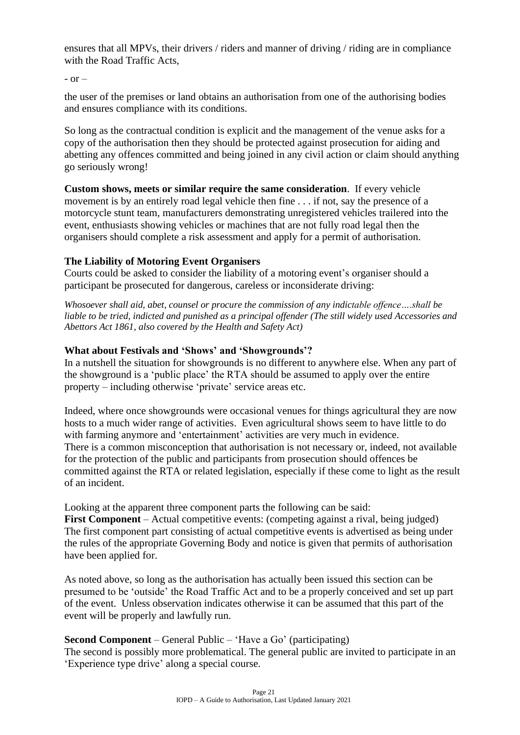ensures that all MPVs, their drivers / riders and manner of driving / riding are in compliance with the Road Traffic Acts,

 $-$  or  $-$ 

the user of the premises or land obtains an authorisation from one of the authorising bodies and ensures compliance with its conditions.

So long as the contractual condition is explicit and the management of the venue asks for a copy of the authorisation then they should be protected against prosecution for aiding and abetting any offences committed and being joined in any civil action or claim should anything go seriously wrong!

**Custom shows, meets or similar require the same consideration**. If every vehicle movement is by an entirely road legal vehicle then fine . . . if not, say the presence of a motorcycle stunt team, manufacturers demonstrating unregistered vehicles trailered into the event, enthusiasts showing vehicles or machines that are not fully road legal then the organisers should complete a risk assessment and apply for a permit of authorisation.

#### **The Liability of Motoring Event Organisers**

Courts could be asked to consider the liability of a motoring event's organiser should a participant be prosecuted for dangerous, careless or inconsiderate driving:

*Whosoever shall aid, abet, counsel or procure the commission of any indictable offence….shall be liable to be tried, indicted and punished as a principal offender (The still widely used Accessories and Abettors Act 1861, also covered by the Health and Safety Act)*

#### **What about Festivals and 'Shows' and 'Showgrounds'?**

In a nutshell the situation for showgrounds is no different to anywhere else. When any part of the showground is a 'public place' the RTA should be assumed to apply over the entire property – including otherwise 'private' service areas etc.

Indeed, where once showgrounds were occasional venues for things agricultural they are now hosts to a much wider range of activities. Even agricultural shows seem to have little to do with farming anymore and 'entertainment' activities are very much in evidence. There is a common misconception that authorisation is not necessary or, indeed, not available for the protection of the public and participants from prosecution should offences be committed against the RTA or related legislation, especially if these come to light as the result of an incident.

Looking at the apparent three component parts the following can be said:

**First Component** – Actual competitive events: (competing against a rival, being judged) The first component part consisting of actual competitive events is advertised as being under the rules of the appropriate Governing Body and notice is given that permits of authorisation have been applied for.

As noted above, so long as the authorisation has actually been issued this section can be presumed to be 'outside' the Road Traffic Act and to be a properly conceived and set up part of the event. Unless observation indicates otherwise it can be assumed that this part of the event will be properly and lawfully run.

**Second Component** – General Public – 'Have a Go' (participating)

The second is possibly more problematical. The general public are invited to participate in an 'Experience type drive' along a special course.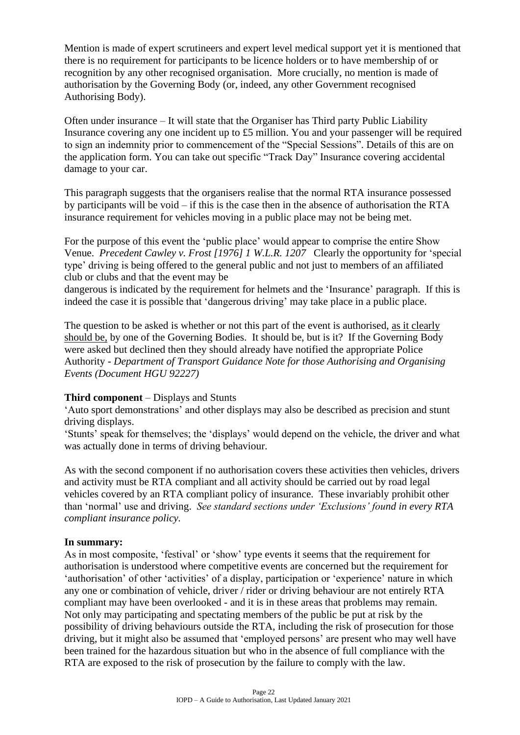Mention is made of expert scrutineers and expert level medical support yet it is mentioned that there is no requirement for participants to be licence holders or to have membership of or recognition by any other recognised organisation. More crucially, no mention is made of authorisation by the Governing Body (or, indeed, any other Government recognised Authorising Body).

Often under insurance – It will state that the Organiser has Third party Public Liability Insurance covering any one incident up to £5 million. You and your passenger will be required to sign an indemnity prior to commencement of the "Special Sessions". Details of this are on the application form. You can take out specific "Track Day" Insurance covering accidental damage to your car.

This paragraph suggests that the organisers realise that the normal RTA insurance possessed by participants will be void – if this is the case then in the absence of authorisation the RTA insurance requirement for vehicles moving in a public place may not be being met.

For the purpose of this event the 'public place' would appear to comprise the entire Show Venue. *Precedent Cawley v. Frost [1976] 1 W.L.R. 1207* Clearly the opportunity for 'special type' driving is being offered to the general public and not just to members of an affiliated club or clubs and that the event may be

dangerous is indicated by the requirement for helmets and the 'Insurance' paragraph. If this is indeed the case it is possible that 'dangerous driving' may take place in a public place.

The question to be asked is whether or not this part of the event is authorised, as it clearly should be, by one of the Governing Bodies. It should be, but is it? If the Governing Body were asked but declined then they should already have notified the appropriate Police Authority - *Department of Transport Guidance Note for those Authorising and Organising Events (Document HGU 92227)*

#### **Third component** – Displays and Stunts

'Auto sport demonstrations' and other displays may also be described as precision and stunt driving displays.

'Stunts' speak for themselves; the 'displays' would depend on the vehicle, the driver and what was actually done in terms of driving behaviour.

As with the second component if no authorisation covers these activities then vehicles, drivers and activity must be RTA compliant and all activity should be carried out by road legal vehicles covered by an RTA compliant policy of insurance. These invariably prohibit other than 'normal' use and driving. *See standard sections under 'Exclusions' found in every RTA compliant insurance policy.*

#### **In summary:**

As in most composite, 'festival' or 'show' type events it seems that the requirement for authorisation is understood where competitive events are concerned but the requirement for 'authorisation' of other 'activities' of a display, participation or 'experience' nature in which any one or combination of vehicle, driver / rider or driving behaviour are not entirely RTA compliant may have been overlooked - and it is in these areas that problems may remain. Not only may participating and spectating members of the public be put at risk by the possibility of driving behaviours outside the RTA, including the risk of prosecution for those driving, but it might also be assumed that 'employed persons' are present who may well have been trained for the hazardous situation but who in the absence of full compliance with the RTA are exposed to the risk of prosecution by the failure to comply with the law.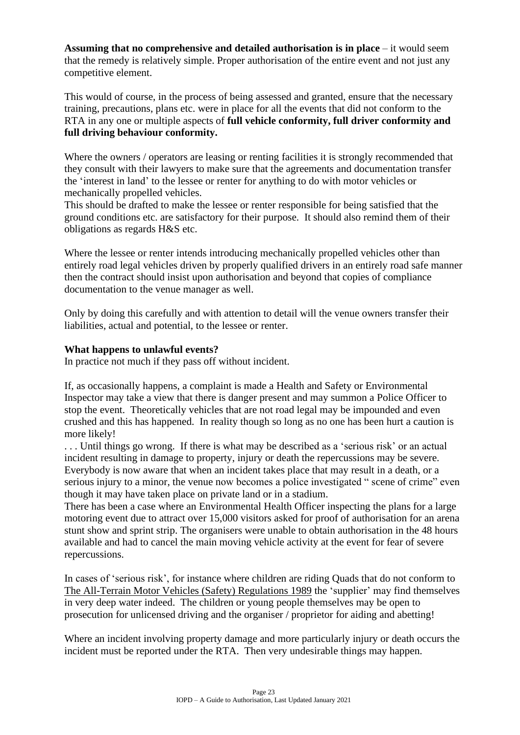**Assuming that no comprehensive and detailed authorisation is in place** – it would seem that the remedy is relatively simple. Proper authorisation of the entire event and not just any competitive element.

This would of course, in the process of being assessed and granted, ensure that the necessary training, precautions, plans etc. were in place for all the events that did not conform to the RTA in any one or multiple aspects of **full vehicle conformity, full driver conformity and full driving behaviour conformity.**

Where the owners / operators are leasing or renting facilities it is strongly recommended that they consult with their lawyers to make sure that the agreements and documentation transfer the 'interest in land' to the lessee or renter for anything to do with motor vehicles or mechanically propelled vehicles.

This should be drafted to make the lessee or renter responsible for being satisfied that the ground conditions etc. are satisfactory for their purpose. It should also remind them of their obligations as regards H&S etc.

Where the lessee or renter intends introducing mechanically propelled vehicles other than entirely road legal vehicles driven by properly qualified drivers in an entirely road safe manner then the contract should insist upon authorisation and beyond that copies of compliance documentation to the venue manager as well.

Only by doing this carefully and with attention to detail will the venue owners transfer their liabilities, actual and potential, to the lessee or renter.

#### **What happens to unlawful events?**

In practice not much if they pass off without incident.

If, as occasionally happens, a complaint is made a Health and Safety or Environmental Inspector may take a view that there is danger present and may summon a Police Officer to stop the event. Theoretically vehicles that are not road legal may be impounded and even crushed and this has happened. In reality though so long as no one has been hurt a caution is more likely!

. . . Until things go wrong. If there is what may be described as a 'serious risk' or an actual incident resulting in damage to property, injury or death the repercussions may be severe. Everybody is now aware that when an incident takes place that may result in a death, or a serious injury to a minor, the venue now becomes a police investigated " scene of crime" even though it may have taken place on private land or in a stadium.

There has been a case where an Environmental Health Officer inspecting the plans for a large motoring event due to attract over 15,000 visitors asked for proof of authorisation for an arena stunt show and sprint strip. The organisers were unable to obtain authorisation in the 48 hours available and had to cancel the main moving vehicle activity at the event for fear of severe repercussions.

In cases of 'serious risk', for instance where children are riding Quads that do not conform to The All-Terrain Motor Vehicles [\(Safety\) Regulations](http://www.opsi.gov.uk/SI/si1989/Uksi_19892288_en_1.htm) 1989 the 'supplier' may find themselves in very deep water indeed. The children or young people themselves may be open to prosecution for unlicensed driving and the organiser / proprietor for aiding and abetting!

Where an incident involving property damage and more particularly injury or death occurs the incident must be reported under the RTA. Then very undesirable things may happen.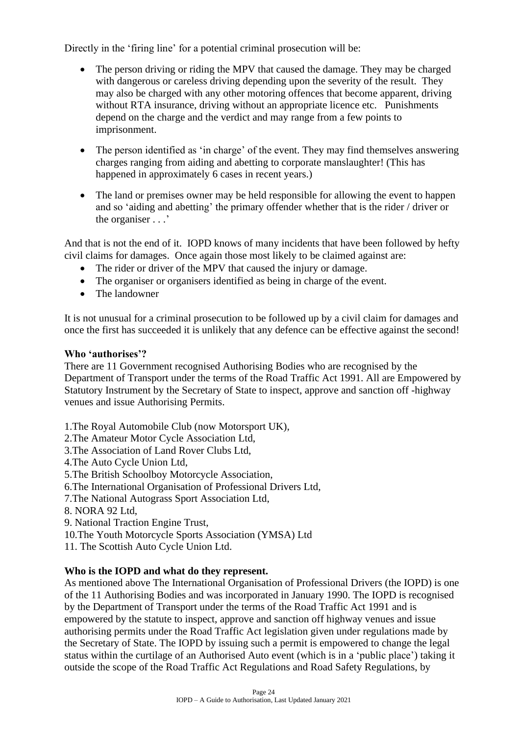Directly in the 'firing line' for a potential criminal prosecution will be:

- The person driving or riding the MPV that caused the damage. They may be charged with dangerous or careless driving depending upon the severity of the result. They may also be charged with any other motoring offences that become apparent, driving without RTA insurance, driving without an appropriate licence etc. Punishments depend on the charge and the verdict and may range from a few points to imprisonment.
- The person identified as 'in charge' of the event. They may find themselves answering charges ranging from aiding and abetting to corporate manslaughter! (This has happened in approximately 6 cases in recent years.)
- The land or premises owner may be held responsible for allowing the event to happen and so 'aiding and abetting' the primary offender whether that is the rider / driver or the organiser . . .'

And that is not the end of it. IOPD knows of many incidents that have been followed by hefty civil claims for damages. Once again those most likely to be claimed against are:

- The rider or driver of the MPV that caused the injury or damage.
- The organiser or organisers identified as being in charge of the event.
- The landowner

It is not unusual for a criminal prosecution to be followed up by a civil claim for damages and once the first has succeeded it is unlikely that any defence can be effective against the second!

#### **Who 'authorises'?**

There are 11 Government recognised Authorising Bodies who are recognised by the Department of Transport under the terms of the Road Traffic Act 1991. All are Empowered by Statutory Instrument by the Secretary of State to inspect, approve and sanction off -highway venues and issue Authorising Permits.

- 1.The Royal Automobile Club (now Motorsport UK),
- 2.The Amateur Motor Cycle Association Ltd,
- 3.The Association of Land Rover Clubs Ltd,
- 4.The Auto Cycle Union Ltd,
- 5.The British Schoolboy Motorcycle Association,
- 6.The International Organisation of Professional Drivers Ltd,
- 7.The National Autograss Sport Association Ltd,
- 8. NORA 92 Ltd,
- 9. National Traction Engine Trust,
- 10.The Youth Motorcycle Sports Association (YMSA) Ltd
- 11. The Scottish Auto Cycle Union Ltd.

#### **Who is the IOPD and what do they represent.**

As mentioned above The International Organisation of Professional Drivers (the IOPD) is one of the 11 Authorising Bodies and was incorporated in January 1990. The IOPD is recognised by the Department of Transport under the terms of the Road Traffic Act 1991 and is empowered by the statute to inspect, approve and sanction off highway venues and issue authorising permits under the Road Traffic Act legislation given under regulations made by the Secretary of State. The IOPD by issuing such a permit is empowered to change the legal status within the curtilage of an Authorised Auto event (which is in a 'public place') taking it outside the scope of the Road Traffic Act Regulations and Road Safety Regulations, by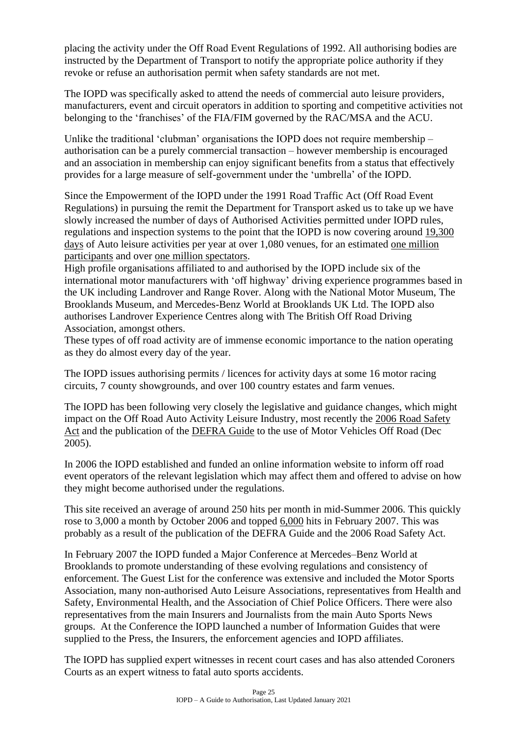placing the activity under the Off Road Event Regulations of 1992. All authorising bodies are instructed by the Department of Transport to notify the appropriate police authority if they revoke or refuse an authorisation permit when safety standards are not met.

The IOPD was specifically asked to attend the needs of commercial auto leisure providers, manufacturers, event and circuit operators in addition to sporting and competitive activities not belonging to the 'franchises' of the FIA/FIM governed by the RAC/MSA and the ACU.

Unlike the traditional 'clubman' organisations the IOPD does not require membership – authorisation can be a purely commercial transaction – however membership is encouraged and an association in membership can enjoy significant benefits from a status that effectively provides for a large measure of self-government under the 'umbrella' of the IOPD.

Since the Empowerment of the IOPD under the 1991 Road Traffic Act (Off Road Event Regulations) in pursuing the remit the Department for Transport asked us to take up we have slowly increased the number of days of Authorised Activities permitted under IOPD rules, regulations and inspection systems to the point that the IOPD is now covering around 19,300 days of Auto leisure activities per year at over 1,080 venues, for an estimated one million participants and over one million spectators.

High profile organisations affiliated to and authorised by the IOPD include six of the international motor manufacturers with 'off highway' driving experience programmes based in the UK including Landrover and Range Rover. Along with the National Motor Museum, The Brooklands Museum, and Mercedes-Benz World at Brooklands UK Ltd. The IOPD also authorises Landrover Experience Centres along with The British Off Road Driving Association, amongst others.

These types of off road activity are of immense economic importance to the nation operating as they do almost every day of the year.

The IOPD issues authorising permits / licences for activity days at some 16 motor racing circuits, 7 county showgrounds, and over 100 country estates and farm venues.

The IOPD has been following very closely the legislative and guidance changes, which might impact on the Off Road Auto Activity Leisure Industry, most recently the 2006 Road Safety Act and the publication of the DEFRA Guide to the use of Motor Vehicles Off Road (Dec 2005).

In 2006 the IOPD established and funded an online information website to inform off road event operators of the relevant legislation which may affect them and offered to advise on how they might become authorised under the regulations.

This site received an average of around 250 hits per month in mid-Summer 2006. This quickly rose to 3,000 a month by October 2006 and topped 6,000 hits in February 2007. This was probably as a result of the publication of the DEFRA Guide and the 2006 Road Safety Act.

In February 2007 the IOPD funded a Major Conference at Mercedes–Benz World at Brooklands to promote understanding of these evolving regulations and consistency of enforcement. The Guest List for the conference was extensive and included the Motor Sports Association, many non-authorised Auto Leisure Associations, representatives from Health and Safety, Environmental Health, and the Association of Chief Police Officers. There were also representatives from the main Insurers and Journalists from the main Auto Sports News groups. At the Conference the IOPD launched a number of Information Guides that were supplied to the Press, the Insurers, the enforcement agencies and IOPD affiliates.

The IOPD has supplied expert witnesses in recent court cases and has also attended Coroners Courts as an expert witness to fatal auto sports accidents.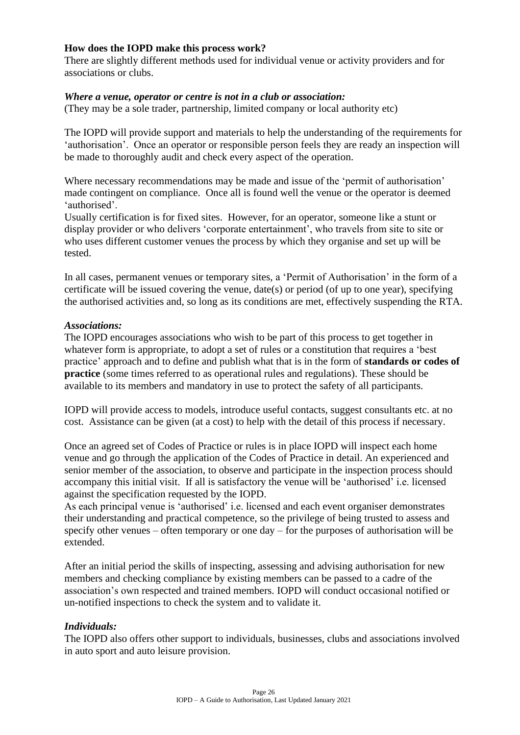#### **How does the IOPD make this process work?**

There are slightly different methods used for individual venue or activity providers and for associations or clubs.

#### *Where a venue, operator or centre is not in a club or association:*

(They may be a sole trader, partnership, limited company or local authority etc)

The IOPD will provide support and materials to help the understanding of the requirements for 'authorisation'. Once an operator or responsible person feels they are ready an inspection will be made to thoroughly audit and check every aspect of the operation.

Where necessary recommendations may be made and issue of the 'permit of authorisation' made contingent on compliance. Once all is found well the venue or the operator is deemed 'authorised'.

Usually certification is for fixed sites. However, for an operator, someone like a stunt or display provider or who delivers 'corporate entertainment', who travels from site to site or who uses different customer venues the process by which they organise and set up will be tested.

In all cases, permanent venues or temporary sites, a 'Permit of Authorisation' in the form of a certificate will be issued covering the venue,  $date(s)$  or period (of up to one year), specifying the authorised activities and, so long as its conditions are met, effectively suspending the RTA.

#### *Associations:*

The IOPD encourages associations who wish to be part of this process to get together in whatever form is appropriate, to adopt a set of rules or a constitution that requires a 'best practice' approach and to define and publish what that is in the form of **standards or codes of practice** (some times referred to as operational rules and regulations). These should be available to its members and mandatory in use to protect the safety of all participants.

IOPD will provide access to models, introduce useful contacts, suggest consultants etc. at no cost. Assistance can be given (at a cost) to help with the detail of this process if necessary.

Once an agreed set of Codes of Practice or rules is in place IOPD will inspect each home venue and go through the application of the Codes of Practice in detail. An experienced and senior member of the association, to observe and participate in the inspection process should accompany this initial visit. If all is satisfactory the venue will be 'authorised' i.e. licensed against the specification requested by the IOPD.

As each principal venue is 'authorised' i.e. licensed and each event organiser demonstrates their understanding and practical competence, so the privilege of being trusted to assess and specify other venues – often temporary or one day – for the purposes of authorisation will be extended.

After an initial period the skills of inspecting, assessing and advising authorisation for new members and checking compliance by existing members can be passed to a cadre of the association's own respected and trained members. IOPD will conduct occasional notified or un-notified inspections to check the system and to validate it.

#### *Individuals:*

The IOPD also offers other support to individuals, businesses, clubs and associations involved in auto sport and auto leisure provision.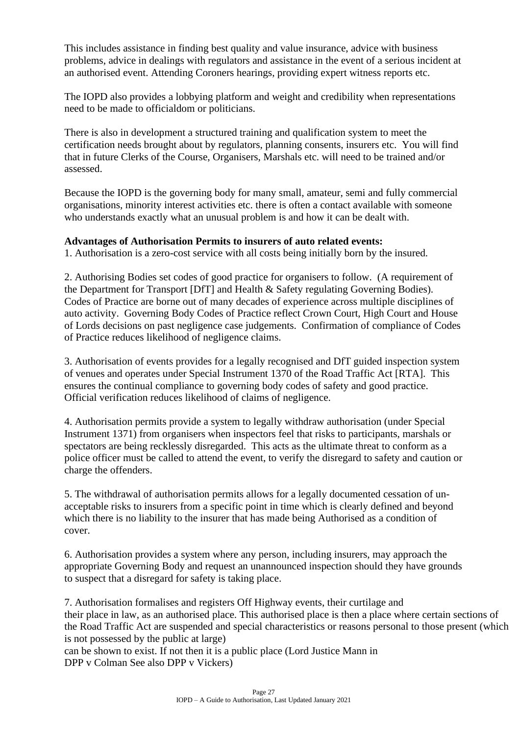This includes assistance in finding best quality and value insurance, advice with business problems, advice in dealings with regulators and assistance in the event of a serious incident at an authorised event. Attending Coroners hearings, providing expert witness reports etc.

The IOPD also provides a lobbying platform and weight and credibility when representations need to be made to officialdom or politicians.

There is also in development a structured training and qualification system to meet the certification needs brought about by regulators, planning consents, insurers etc. You will find that in future Clerks of the Course, Organisers, Marshals etc. will need to be trained and/or assessed.

Because the IOPD is the governing body for many small, amateur, semi and fully commercial organisations, minority interest activities etc. there is often a contact available with someone who understands exactly what an unusual problem is and how it can be dealt with.

#### **Advantages of Authorisation Permits to insurers of auto related events:**

1. Authorisation is a zero-cost service with all costs being initially born by the insured.

2. Authorising Bodies set codes of good practice for organisers to follow. (A requirement of the Department for Transport [DfT] and Health & Safety regulating Governing Bodies). Codes of Practice are borne out of many decades of experience across multiple disciplines of auto activity. Governing Body Codes of Practice reflect Crown Court, High Court and House of Lords decisions on past negligence case judgements. Confirmation of compliance of Codes of Practice reduces likelihood of negligence claims.

3. Authorisation of events provides for a legally recognised and DfT guided inspection system of venues and operates under Special Instrument 1370 of the Road Traffic Act [RTA]. This ensures the continual compliance to governing body codes of safety and good practice. Official verification reduces likelihood of claims of negligence.

4. Authorisation permits provide a system to legally withdraw authorisation (under Special Instrument 1371) from organisers when inspectors feel that risks to participants, marshals or spectators are being recklessly disregarded. This acts as the ultimate threat to conform as a police officer must be called to attend the event, to verify the disregard to safety and caution or charge the offenders.

5. The withdrawal of authorisation permits allows for a legally documented cessation of unacceptable risks to insurers from a specific point in time which is clearly defined and beyond which there is no liability to the insurer that has made being Authorised as a condition of cover.

6. Authorisation provides a system where any person, including insurers, may approach the appropriate Governing Body and request an unannounced inspection should they have grounds to suspect that a disregard for safety is taking place.

7. Authorisation formalises and registers Off Highway events, their curtilage and their place in law, as an authorised place. This authorised place is then a place where certain sections of the Road Traffic Act are suspended and special characteristics or reasons personal to those present (which is not possessed by the public at large)

can be shown to exist. If not then it is a public place (Lord Justice Mann in DPP v Colman See also DPP v Vickers)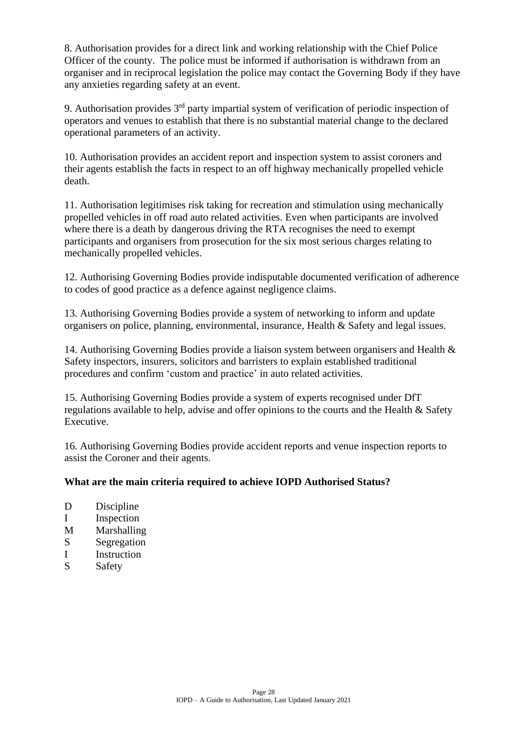8. Authorisation provides for a direct link and working relationship with the Chief Police Officer of the county. The police must be informed if authorisation is withdrawn from an organiser and in reciprocal legislation the police may contact the Governing Body if they have any anxieties regarding safety at an event.

9. Authorisation provides  $3<sup>rd</sup>$  party impartial system of verification of periodic inspection of operators and venues to establish that there is no substantial material change to the declared operational parameters of an activity.

10. Authorisation provides an accident report and inspection system to assist coroners and their agents establish the facts in respect to an off highway mechanically propelled vehicle death.

11. Authorisation legitimises risk taking for recreation and stimulation using mechanically propelled vehicles in off road auto related activities. Even when participants are involved where there is a death by dangerous driving the RTA recognises the need to exempt participants and organisers from prosecution for the six most serious charges relating to mechanically propelled vehicles.

12. Authorising Governing Bodies provide indisputable documented verification of adherence to codes of good practice as a defence against negligence claims.

13. Authorising Governing Bodies provide a system of networking to inform and update organisers on police, planning, environmental, insurance, Health & Safety and legal issues.

14. Authorising Governing Bodies provide a liaison system between organisers and Health & Safety inspectors, insurers, solicitors and barristers to explain established traditional procedures and confirm 'custom and practice' in auto related activities.

15. Authorising Governing Bodies provide a system of experts recognised under DfT regulations available to help, advise and offer opinions to the courts and the Health & Safety Executive.

16. Authorising Governing Bodies provide accident reports and venue inspection reports to assist the Coroner and their agents.

#### **What are the main criteria required to achieve IOPD Authorised Status?**

- D Discipline
- I Inspection
- M Marshalling
- S Segregation
- I Instruction
- S Safety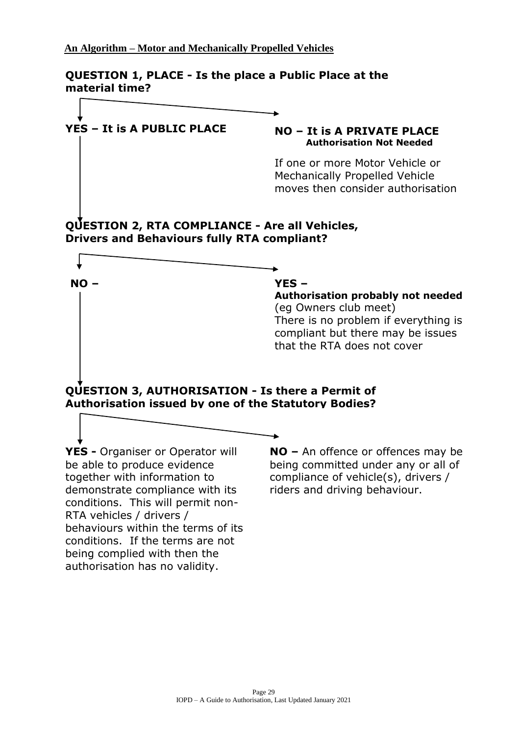**QUESTION 1, PLACE - Is the place a Public Place at the material time?**

### **YES – It is A PUBLIC PLACE NO – It is A PRIVATE PLACE**

**NO –**

# **Authorisation Not Needed**

If one or more Motor Vehicle or Mechanically Propelled Vehicle moves then consider authorisation

#### **QUESTION 2, RTA COMPLIANCE - Are all Vehicles, Drivers and Behaviours fully RTA compliant?**



#### **YES –**

 $\bullet$ 

**Authorisation probably not needed** (eg Owners club meet) There is no problem if everything is compliant but there may be issues that the RTA does not cover

**QUESTION 3, AUTHORISATION - Is there a Permit of Authorisation issued by one of the Statutory Bodies?**

YES - Organiser or Operator will together with information to **The Most Common Common Common Common Common Common Common Common Common Common Common Common Common Common Common Common Common Common Common Common Common Common Common Common Common Common Common Common Common Common Co** conditions. If the terms are not authorisation has no validity. be able to produce evidence demonstrate compliance with its conditions. This will permit non-RTA vehicles / drivers / behaviours within the terms of its being complied with then the

**NO –** An offence or offences may be being committed under any or all of compliance of vehicle(s), drivers / riders and driving behaviour.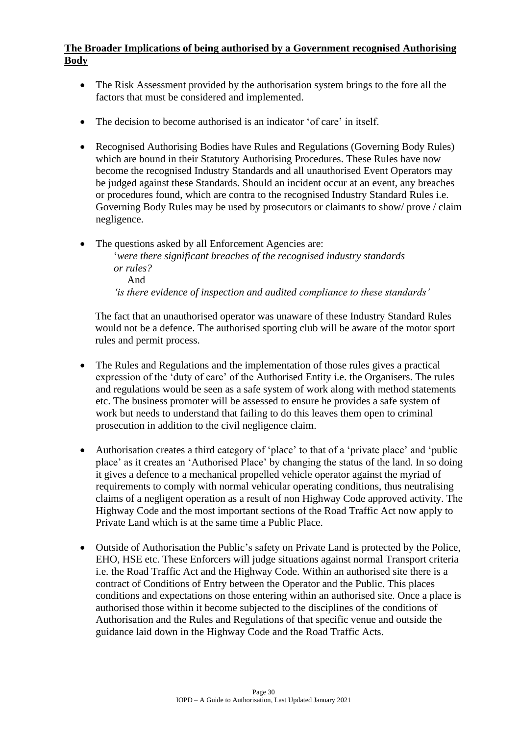#### **The Broader Implications of being authorised by a Government recognised Authorising Body**

- The Risk Assessment provided by the authorisation system brings to the fore all the factors that must be considered and implemented.
- The decision to become authorised is an indicator 'of care' in itself.
- Recognised Authorising Bodies have Rules and Regulations (Governing Body Rules) which are bound in their Statutory Authorising Procedures. These Rules have now become the recognised Industry Standards and all unauthorised Event Operators may be judged against these Standards. Should an incident occur at an event, any breaches or procedures found, which are contra to the recognised Industry Standard Rules i.e. Governing Body Rules may be used by prosecutors or claimants to show/ prove / claim negligence.
- The questions asked by all Enforcement Agencies are: '*were there significant breaches of the recognised industry standards or rules?* And *'is there evidence of inspection and audited compliance to these standards'*

The fact that an unauthorised operator was unaware of these Industry Standard Rules would not be a defence. The authorised sporting club will be aware of the motor sport rules and permit process.

- The Rules and Regulations and the implementation of those rules gives a practical expression of the 'duty of care' of the Authorised Entity i.e. the Organisers. The rules and regulations would be seen as a safe system of work along with method statements etc. The business promoter will be assessed to ensure he provides a safe system of work but needs to understand that failing to do this leaves them open to criminal prosecution in addition to the civil negligence claim.
- Authorisation creates a third category of 'place' to that of a 'private place' and 'public place' as it creates an 'Authorised Place' by changing the status of the land. In so doing it gives a defence to a mechanical propelled vehicle operator against the myriad of requirements to comply with normal vehicular operating conditions, thus neutralising claims of a negligent operation as a result of non Highway Code approved activity. The Highway Code and the most important sections of the Road Traffic Act now apply to Private Land which is at the same time a Public Place.
- Outside of Authorisation the Public's safety on Private Land is protected by the Police, EHO, HSE etc. These Enforcers will judge situations against normal Transport criteria i.e. the Road Traffic Act and the Highway Code. Within an authorised site there is a contract of Conditions of Entry between the Operator and the Public. This places conditions and expectations on those entering within an authorised site. Once a place is authorised those within it become subjected to the disciplines of the conditions of Authorisation and the Rules and Regulations of that specific venue and outside the guidance laid down in the Highway Code and the Road Traffic Acts.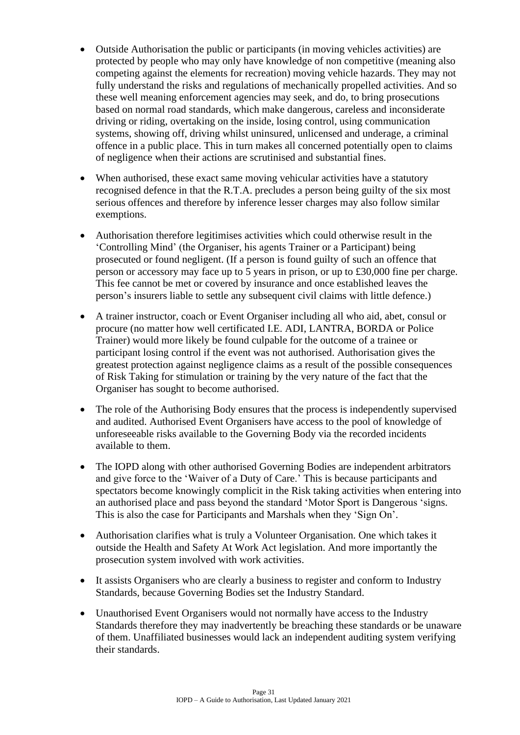- Outside Authorisation the public or participants (in moving vehicles activities) are protected by people who may only have knowledge of non competitive (meaning also competing against the elements for recreation) moving vehicle hazards. They may not fully understand the risks and regulations of mechanically propelled activities. And so these well meaning enforcement agencies may seek, and do, to bring prosecutions based on normal road standards, which make dangerous, careless and inconsiderate driving or riding, overtaking on the inside, losing control, using communication systems, showing off, driving whilst uninsured, unlicensed and underage, a criminal offence in a public place. This in turn makes all concerned potentially open to claims of negligence when their actions are scrutinised and substantial fines.
- When authorised, these exact same moving vehicular activities have a statutory recognised defence in that the R.T.A. precludes a person being guilty of the six most serious offences and therefore by inference lesser charges may also follow similar exemptions.
- Authorisation therefore legitimises activities which could otherwise result in the 'Controlling Mind' (the Organiser, his agents Trainer or a Participant) being prosecuted or found negligent. (If a person is found guilty of such an offence that person or accessory may face up to 5 years in prison, or up to £30,000 fine per charge. This fee cannot be met or covered by insurance and once established leaves the person's insurers liable to settle any subsequent civil claims with little defence.)
- A trainer instructor, coach or Event Organiser including all who aid, abet, consul or procure (no matter how well certificated I.E. ADI, LANTRA, BORDA or Police Trainer) would more likely be found culpable for the outcome of a trainee or participant losing control if the event was not authorised. Authorisation gives the greatest protection against negligence claims as a result of the possible consequences of Risk Taking for stimulation or training by the very nature of the fact that the Organiser has sought to become authorised.
- The role of the Authorising Body ensures that the process is independently supervised and audited. Authorised Event Organisers have access to the pool of knowledge of unforeseeable risks available to the Governing Body via the recorded incidents available to them.
- The IOPD along with other authorised Governing Bodies are independent arbitrators and give force to the 'Waiver of a Duty of Care.' This is because participants and spectators become knowingly complicit in the Risk taking activities when entering into an authorised place and pass beyond the standard 'Motor Sport is Dangerous 'signs. This is also the case for Participants and Marshals when they 'Sign On'.
- Authorisation clarifies what is truly a Volunteer Organisation. One which takes it outside the Health and Safety At Work Act legislation. And more importantly the prosecution system involved with work activities.
- It assists Organisers who are clearly a business to register and conform to Industry Standards, because Governing Bodies set the Industry Standard.
- Unauthorised Event Organisers would not normally have access to the Industry Standards therefore they may inadvertently be breaching these standards or be unaware of them. Unaffiliated businesses would lack an independent auditing system verifying their standards.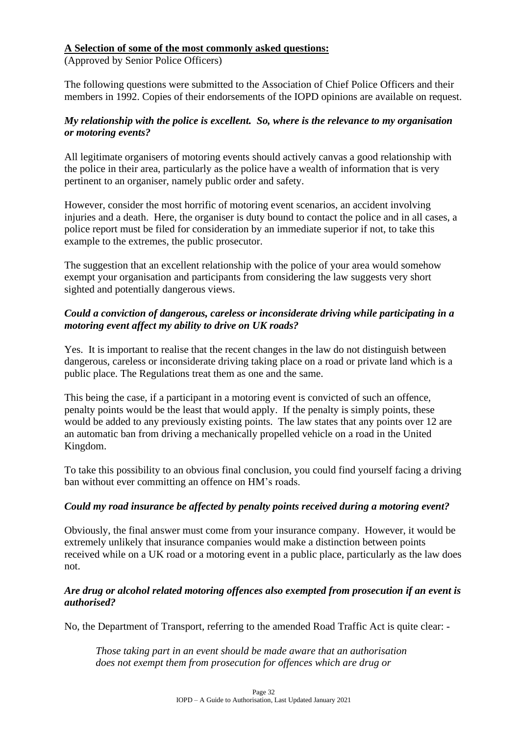#### **A Selection of some of the most commonly asked questions:**

(Approved by Senior Police Officers)

The following questions were submitted to the Association of Chief Police Officers and their members in 1992. Copies of their endorsements of the IOPD opinions are available on request.

#### *My relationship with the police is excellent. So, where is the relevance to my organisation or motoring events?*

All legitimate organisers of motoring events should actively canvas a good relationship with the police in their area, particularly as the police have a wealth of information that is very pertinent to an organiser, namely public order and safety.

However, consider the most horrific of motoring event scenarios, an accident involving injuries and a death. Here, the organiser is duty bound to contact the police and in all cases, a police report must be filed for consideration by an immediate superior if not, to take this example to the extremes, the public prosecutor.

The suggestion that an excellent relationship with the police of your area would somehow exempt your organisation and participants from considering the law suggests very short sighted and potentially dangerous views.

#### *Could a conviction of dangerous, careless or inconsiderate driving while participating in a motoring event affect my ability to drive on UK roads?*

Yes. It is important to realise that the recent changes in the law do not distinguish between dangerous, careless or inconsiderate driving taking place on a road or private land which is a public place. The Regulations treat them as one and the same.

This being the case, if a participant in a motoring event is convicted of such an offence, penalty points would be the least that would apply. If the penalty is simply points, these would be added to any previously existing points. The law states that any points over 12 are an automatic ban from driving a mechanically propelled vehicle on a road in the United Kingdom.

To take this possibility to an obvious final conclusion, you could find yourself facing a driving ban without ever committing an offence on HM's roads.

#### *Could my road insurance be affected by penalty points received during a motoring event?*

Obviously, the final answer must come from your insurance company. However, it would be extremely unlikely that insurance companies would make a distinction between points received while on a UK road or a motoring event in a public place, particularly as the law does not.

#### *Are drug or alcohol related motoring offences also exempted from prosecution if an event is authorised?*

No, the Department of Transport, referring to the amended Road Traffic Act is quite clear: -

*Those taking part in an event should be made aware that an authorisation does not exempt them from prosecution for offences which are drug or*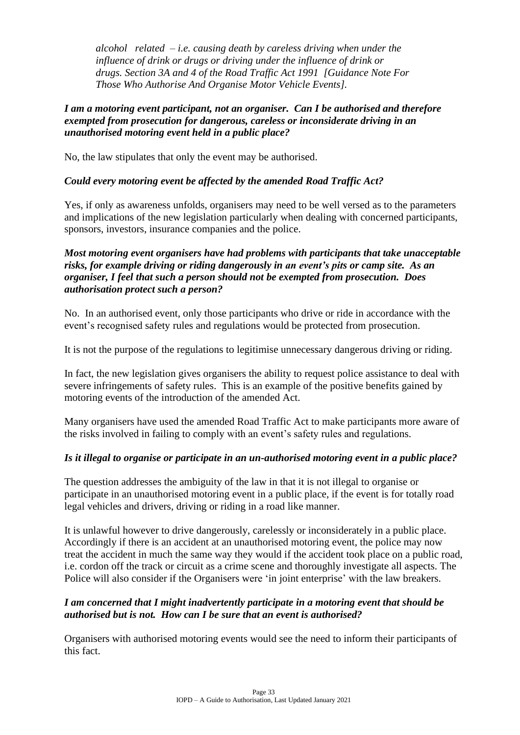*alcohol related – i.e. causing death by careless driving when under the influence of drink or drugs or driving under the influence of drink or drugs. Section 3A and 4 of the Road Traffic Act 1991 [Guidance Note For Those Who Authorise And Organise Motor Vehicle Events].*

#### *I am a motoring event participant, not an organiser. Can I be authorised and therefore exempted from prosecution for dangerous, careless or inconsiderate driving in an unauthorised motoring event held in a public place?*

No, the law stipulates that only the event may be authorised.

#### *Could every motoring event be affected by the amended Road Traffic Act?*

Yes, if only as awareness unfolds, organisers may need to be well versed as to the parameters and implications of the new legislation particularly when dealing with concerned participants, sponsors, investors, insurance companies and the police.

#### *Most motoring event organisers have had problems with participants that take unacceptable risks, for example driving or riding dangerously in an event's pits or camp site. As an organiser, I feel that such a person should not be exempted from prosecution. Does authorisation protect such a person?*

No. In an authorised event, only those participants who drive or ride in accordance with the event's recognised safety rules and regulations would be protected from prosecution.

It is not the purpose of the regulations to legitimise unnecessary dangerous driving or riding.

In fact, the new legislation gives organisers the ability to request police assistance to deal with severe infringements of safety rules. This is an example of the positive benefits gained by motoring events of the introduction of the amended Act.

Many organisers have used the amended Road Traffic Act to make participants more aware of the risks involved in failing to comply with an event's safety rules and regulations.

#### *Is it illegal to organise or participate in an un-authorised motoring event in a public place?*

The question addresses the ambiguity of the law in that it is not illegal to organise or participate in an unauthorised motoring event in a public place, if the event is for totally road legal vehicles and drivers, driving or riding in a road like manner.

It is unlawful however to drive dangerously, carelessly or inconsiderately in a public place. Accordingly if there is an accident at an unauthorised motoring event, the police may now treat the accident in much the same way they would if the accident took place on a public road, i.e. cordon off the track or circuit as a crime scene and thoroughly investigate all aspects. The Police will also consider if the Organisers were 'in joint enterprise' with the law breakers.

#### *I am concerned that I might inadvertently participate in a motoring event that should be authorised but is not. How can I be sure that an event is authorised?*

Organisers with authorised motoring events would see the need to inform their participants of this fact.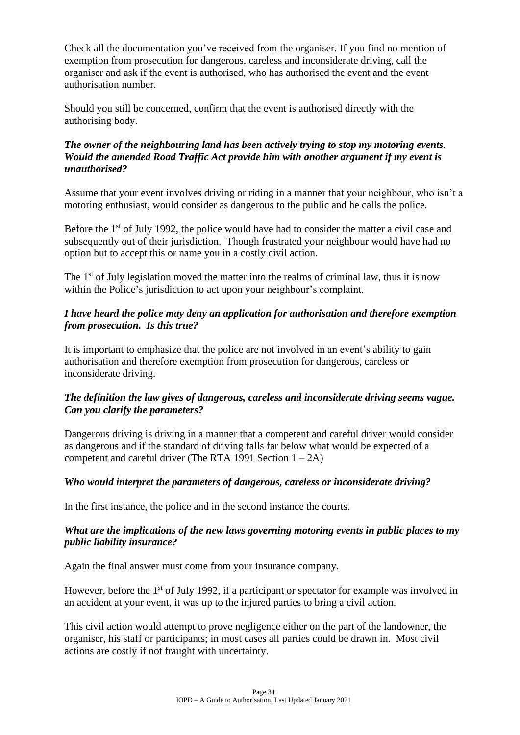Check all the documentation you've received from the organiser. If you find no mention of exemption from prosecution for dangerous, careless and inconsiderate driving, call the organiser and ask if the event is authorised, who has authorised the event and the event authorisation number.

Should you still be concerned, confirm that the event is authorised directly with the authorising body.

#### *The owner of the neighbouring land has been actively trying to stop my motoring events. Would the amended Road Traffic Act provide him with another argument if my event is unauthorised?*

Assume that your event involves driving or riding in a manner that your neighbour, who isn't a motoring enthusiast, would consider as dangerous to the public and he calls the police.

Before the 1<sup>st</sup> of July 1992, the police would have had to consider the matter a civil case and subsequently out of their jurisdiction. Though frustrated your neighbour would have had no option but to accept this or name you in a costly civil action.

The  $1<sup>st</sup>$  of July legislation moved the matter into the realms of criminal law, thus it is now within the Police's jurisdiction to act upon your neighbour's complaint.

#### *I have heard the police may deny an application for authorisation and therefore exemption from prosecution. Is this true?*

It is important to emphasize that the police are not involved in an event's ability to gain authorisation and therefore exemption from prosecution for dangerous, careless or inconsiderate driving.

#### *The definition the law gives of dangerous, careless and inconsiderate driving seems vague. Can you clarify the parameters?*

Dangerous driving is driving in a manner that a competent and careful driver would consider as dangerous and if the standard of driving falls far below what would be expected of a competent and careful driver (The RTA 1991 Section  $1 - 2A$ )

#### *Who would interpret the parameters of dangerous, careless or inconsiderate driving?*

In the first instance, the police and in the second instance the courts.

#### *What are the implications of the new laws governing motoring events in public places to my public liability insurance?*

Again the final answer must come from your insurance company.

However, before the 1<sup>st</sup> of July 1992, if a participant or spectator for example was involved in an accident at your event, it was up to the injured parties to bring a civil action.

This civil action would attempt to prove negligence either on the part of the landowner, the organiser, his staff or participants; in most cases all parties could be drawn in. Most civil actions are costly if not fraught with uncertainty.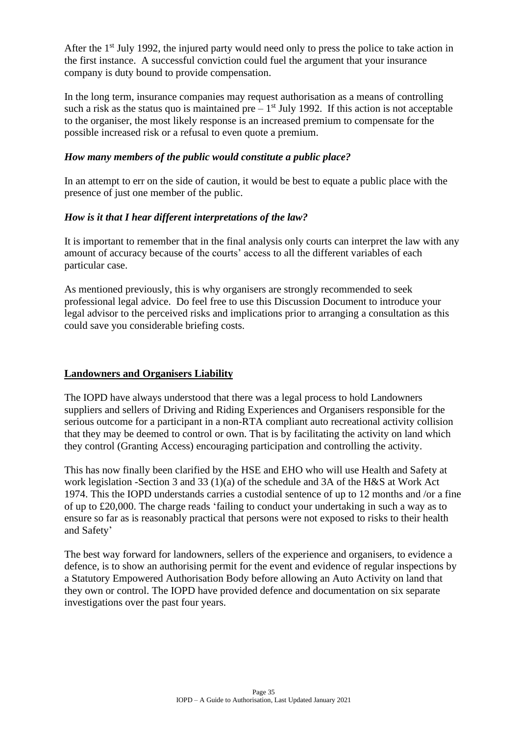After the 1<sup>st</sup> July 1992, the injured party would need only to press the police to take action in the first instance. A successful conviction could fuel the argument that your insurance company is duty bound to provide compensation.

In the long term, insurance companies may request authorisation as a means of controlling such a risk as the status quo is maintained pre  $-1<sup>st</sup>$  July 1992. If this action is not acceptable to the organiser, the most likely response is an increased premium to compensate for the possible increased risk or a refusal to even quote a premium.

#### *How many members of the public would constitute a public place?*

In an attempt to err on the side of caution, it would be best to equate a public place with the presence of just one member of the public.

#### *How is it that I hear different interpretations of the law?*

It is important to remember that in the final analysis only courts can interpret the law with any amount of accuracy because of the courts' access to all the different variables of each particular case.

As mentioned previously, this is why organisers are strongly recommended to seek professional legal advice. Do feel free to use this Discussion Document to introduce your legal advisor to the perceived risks and implications prior to arranging a consultation as this could save you considerable briefing costs.

#### **Landowners and Organisers Liability**

The IOPD have always understood that there was a legal process to hold Landowners suppliers and sellers of Driving and Riding Experiences and Organisers responsible for the serious outcome for a participant in a non-RTA compliant auto recreational activity collision that they may be deemed to control or own. That is by facilitating the activity on land which they control (Granting Access) encouraging participation and controlling the activity.

This has now finally been clarified by the HSE and EHO who will use Health and Safety at work legislation -Section 3 and 33 (1)(a) of the schedule and 3A of the H&S at Work Act 1974. This the IOPD understands carries a custodial sentence of up to 12 months and /or a fine of up to £20,000. The charge reads 'failing to conduct your undertaking in such a way as to ensure so far as is reasonably practical that persons were not exposed to risks to their health and Safety'

The best way forward for landowners, sellers of the experience and organisers, to evidence a defence, is to show an authorising permit for the event and evidence of regular inspections by a Statutory Empowered Authorisation Body before allowing an Auto Activity on land that they own or control. The IOPD have provided defence and documentation on six separate investigations over the past four years.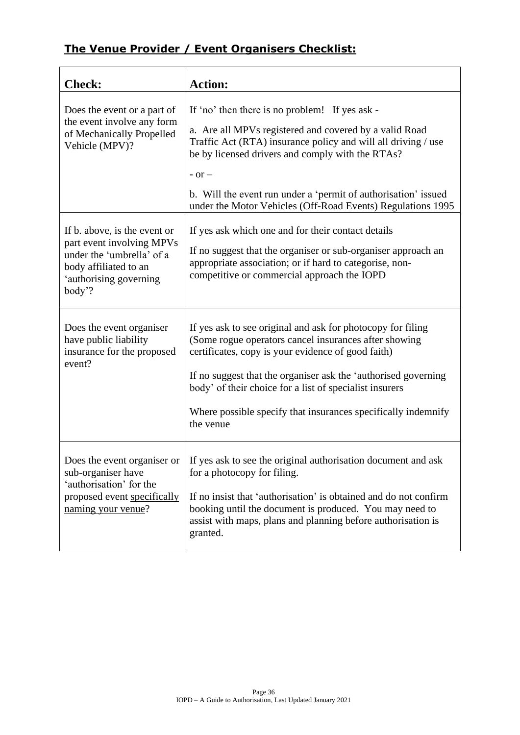## **The Venue Provider / Event Organisers Checklist:**

| <b>Check:</b>                                                                                                                                       | <b>Action:</b>                                                                                                                                                                                                                                                                                                                                                                        |
|-----------------------------------------------------------------------------------------------------------------------------------------------------|---------------------------------------------------------------------------------------------------------------------------------------------------------------------------------------------------------------------------------------------------------------------------------------------------------------------------------------------------------------------------------------|
| Does the event or a part of<br>the event involve any form<br>of Mechanically Propelled<br>Vehicle (MPV)?                                            | If 'no' then there is no problem! If yes ask -<br>a. Are all MPVs registered and covered by a valid Road<br>Traffic Act (RTA) insurance policy and will all driving / use<br>be by licensed drivers and comply with the RTAs?<br>$-$ or $-$<br>b. Will the event run under a 'permit of authorisation' issued<br>under the Motor Vehicles (Off-Road Events) Regulations 1995          |
| If b. above, is the event or<br>part event involving MPVs<br>under the 'umbrella' of a<br>body affiliated to an<br>'authorising governing<br>body'? | If yes ask which one and for their contact details<br>If no suggest that the organiser or sub-organiser approach an<br>appropriate association; or if hard to categorise, non-<br>competitive or commercial approach the IOPD                                                                                                                                                         |
| Does the event organiser<br>have public liability<br>insurance for the proposed<br>event?                                                           | If yes ask to see original and ask for photocopy for filing<br>(Some rogue operators cancel insurances after showing<br>certificates, copy is your evidence of good faith)<br>If no suggest that the organiser ask the 'authorised governing<br>body' of their choice for a list of specialist insurers<br>Where possible specify that insurances specifically indemnify<br>the venue |
| Does the event organiser or<br>sub-organiser have<br>'authorisation' for the<br>proposed event specifically<br>naming your venue?                   | If yes ask to see the original authorisation document and ask<br>for a photocopy for filing.<br>If no insist that 'authorisation' is obtained and do not confirm<br>booking until the document is produced. You may need to<br>assist with maps, plans and planning before authorisation is<br>granted.                                                                               |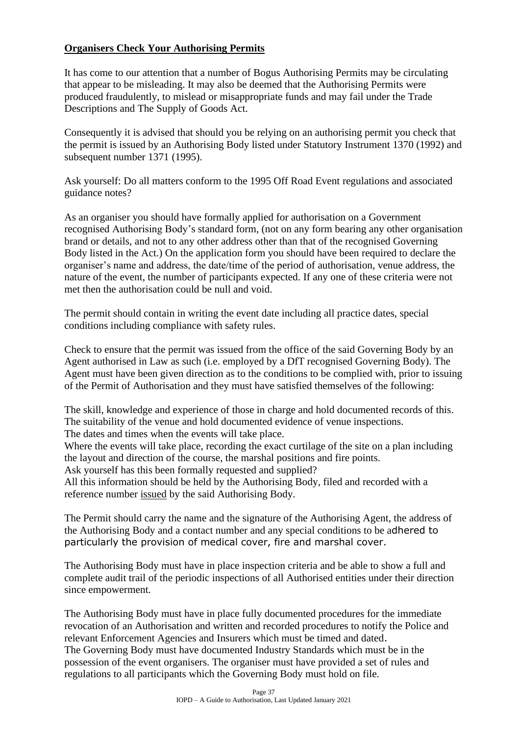#### **Organisers Check Your Authorising Permits**

It has come to our attention that a number of Bogus Authorising Permits may be circulating that appear to be misleading. It may also be deemed that the Authorising Permits were produced fraudulently, to mislead or misappropriate funds and may fail under the Trade Descriptions and The Supply of Goods Act.

Consequently it is advised that should you be relying on an authorising permit you check that the permit is issued by an Authorising Body listed under Statutory Instrument 1370 (1992) and subsequent number 1371 (1995).

Ask yourself: Do all matters conform to the 1995 Off Road Event regulations and associated guidance notes?

As an organiser you should have formally applied for authorisation on a Government recognised Authorising Body's standard form, (not on any form bearing any other organisation brand or details, and not to any other address other than that of the recognised Governing Body listed in the Act.) On the application form you should have been required to declare the organiser's name and address, the date/time of the period of authorisation, venue address, the nature of the event, the number of participants expected. If any one of these criteria were not met then the authorisation could be null and void.

The permit should contain in writing the event date including all practice dates, special conditions including compliance with safety rules.

Check to ensure that the permit was issued from the office of the said Governing Body by an Agent authorised in Law as such (i.e. employed by a DfT recognised Governing Body). The Agent must have been given direction as to the conditions to be complied with, prior to issuing of the Permit of Authorisation and they must have satisfied themselves of the following:

The skill, knowledge and experience of those in charge and hold documented records of this. The suitability of the venue and hold documented evidence of venue inspections. The dates and times when the events will take place.

Where the events will take place, recording the exact curtilage of the site on a plan including the layout and direction of the course, the marshal positions and fire points. Ask yourself has this been formally requested and supplied?

All this information should be held by the Authorising Body, filed and recorded with a

reference number issued by the said Authorising Body.

The Permit should carry the name and the signature of the Authorising Agent, the address of the Authorising Body and a contact number and any special conditions to be adhered to particularly the provision of medical cover, fire and marshal cover.

The Authorising Body must have in place inspection criteria and be able to show a full and complete audit trail of the periodic inspections of all Authorised entities under their direction since empowerment.

The Authorising Body must have in place fully documented procedures for the immediate revocation of an Authorisation and written and recorded procedures to notify the Police and relevant Enforcement Agencies and Insurers which must be timed and dated. The Governing Body must have documented Industry Standards which must be in the possession of the event organisers. The organiser must have provided a set of rules and regulations to all participants which the Governing Body must hold on file.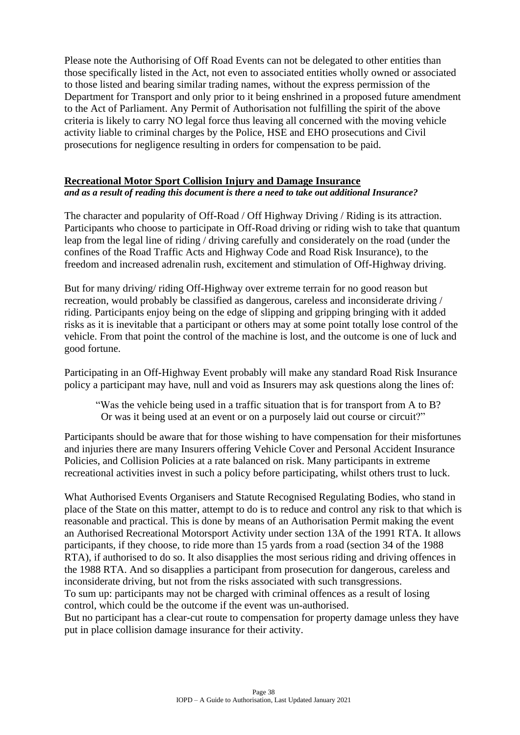Please note the Authorising of Off Road Events can not be delegated to other entities than those specifically listed in the Act, not even to associated entities wholly owned or associated to those listed and bearing similar trading names, without the express permission of the Department for Transport and only prior to it being enshrined in a proposed future amendment to the Act of Parliament. Any Permit of Authorisation not fulfilling the spirit of the above criteria is likely to carry NO legal force thus leaving all concerned with the moving vehicle activity liable to criminal charges by the Police, HSE and EHO prosecutions and Civil prosecutions for negligence resulting in orders for compensation to be paid.

#### **Recreational Motor Sport Collision Injury and Damage Insurance**

*and as a result of reading this document is there a need to take out additional Insurance?*

The character and popularity of Off-Road / Off Highway Driving / Riding is its attraction. Participants who choose to participate in Off-Road driving or riding wish to take that quantum leap from the legal line of riding / driving carefully and considerately on the road (under the confines of the Road Traffic Acts and Highway Code and Road Risk Insurance), to the freedom and increased adrenalin rush, excitement and stimulation of Off-Highway driving.

But for many driving/ riding Off-Highway over extreme terrain for no good reason but recreation, would probably be classified as dangerous, careless and inconsiderate driving / riding. Participants enjoy being on the edge of slipping and gripping bringing with it added risks as it is inevitable that a participant or others may at some point totally lose control of the vehicle. From that point the control of the machine is lost, and the outcome is one of luck and good fortune.

Participating in an Off-Highway Event probably will make any standard Road Risk Insurance policy a participant may have, null and void as Insurers may ask questions along the lines of:

"Was the vehicle being used in a traffic situation that is for transport from A to B? Or was it being used at an event or on a purposely laid out course or circuit?"

Participants should be aware that for those wishing to have compensation for their misfortunes and injuries there are many Insurers offering Vehicle Cover and Personal Accident Insurance Policies, and Collision Policies at a rate balanced on risk. Many participants in extreme recreational activities invest in such a policy before participating, whilst others trust to luck.

What Authorised Events Organisers and Statute Recognised Regulating Bodies, who stand in place of the State on this matter, attempt to do is to reduce and control any risk to that which is reasonable and practical. This is done by means of an Authorisation Permit making the event an Authorised Recreational Motorsport Activity under section 13A of the 1991 RTA. It allows participants, if they choose, to ride more than 15 yards from a road (section 34 of the 1988 RTA), if authorised to do so. It also disapplies the most serious riding and driving offences in the 1988 RTA. And so disapplies a participant from prosecution for dangerous, careless and inconsiderate driving, but not from the risks associated with such transgressions. To sum up: participants may not be charged with criminal offences as a result of losing control, which could be the outcome if the event was un-authorised.

But no participant has a clear-cut route to compensation for property damage unless they have put in place collision damage insurance for their activity.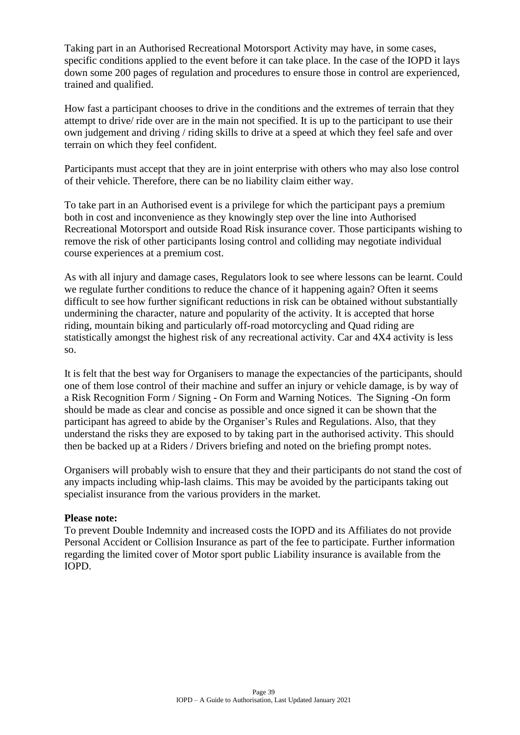Taking part in an Authorised Recreational Motorsport Activity may have, in some cases, specific conditions applied to the event before it can take place. In the case of the IOPD it lays down some 200 pages of regulation and procedures to ensure those in control are experienced, trained and qualified.

How fast a participant chooses to drive in the conditions and the extremes of terrain that they attempt to drive/ ride over are in the main not specified. It is up to the participant to use their own judgement and driving / riding skills to drive at a speed at which they feel safe and over terrain on which they feel confident.

Participants must accept that they are in joint enterprise with others who may also lose control of their vehicle. Therefore, there can be no liability claim either way.

To take part in an Authorised event is a privilege for which the participant pays a premium both in cost and inconvenience as they knowingly step over the line into Authorised Recreational Motorsport and outside Road Risk insurance cover. Those participants wishing to remove the risk of other participants losing control and colliding may negotiate individual course experiences at a premium cost.

As with all injury and damage cases, Regulators look to see where lessons can be learnt. Could we regulate further conditions to reduce the chance of it happening again? Often it seems difficult to see how further significant reductions in risk can be obtained without substantially undermining the character, nature and popularity of the activity. It is accepted that horse riding, mountain biking and particularly off-road motorcycling and Quad riding are statistically amongst the highest risk of any recreational activity. Car and 4X4 activity is less so.

It is felt that the best way for Organisers to manage the expectancies of the participants, should one of them lose control of their machine and suffer an injury or vehicle damage, is by way of a Risk Recognition Form / Signing - On Form and Warning Notices. The Signing -On form should be made as clear and concise as possible and once signed it can be shown that the participant has agreed to abide by the Organiser's Rules and Regulations. Also, that they understand the risks they are exposed to by taking part in the authorised activity. This should then be backed up at a Riders / Drivers briefing and noted on the briefing prompt notes.

Organisers will probably wish to ensure that they and their participants do not stand the cost of any impacts including whip-lash claims. This may be avoided by the participants taking out specialist insurance from the various providers in the market.

#### **Please note:**

To prevent Double Indemnity and increased costs the IOPD and its Affiliates do not provide Personal Accident or Collision Insurance as part of the fee to participate. Further information regarding the limited cover of Motor sport public Liability insurance is available from the IOPD.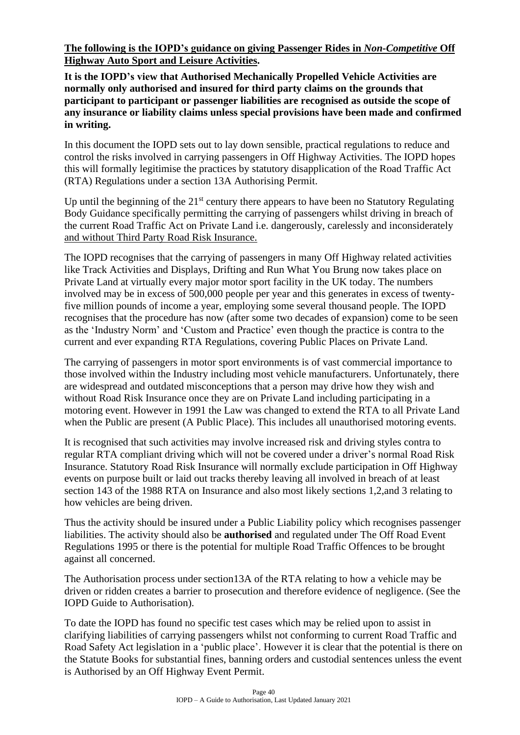**The following is the IOPD's guidance on giving Passenger Rides in** *Non-Competitive* **Off Highway Auto Sport and Leisure Activities.**

**It is the IOPD's view that Authorised Mechanically Propelled Vehicle Activities are normally only authorised and insured for third party claims on the grounds that participant to participant or passenger liabilities are recognised as outside the scope of any insurance or liability claims unless special provisions have been made and confirmed in writing.**

In this document the IOPD sets out to lay down sensible, practical regulations to reduce and control the risks involved in carrying passengers in Off Highway Activities. The IOPD hopes this will formally legitimise the practices by statutory disapplication of the Road Traffic Act (RTA) Regulations under a section 13A Authorising Permit.

Up until the beginning of the  $21<sup>st</sup>$  century there appears to have been no Statutory Regulating Body Guidance specifically permitting the carrying of passengers whilst driving in breach of the current Road Traffic Act on Private Land i.e. dangerously, carelessly and inconsiderately and without Third Party Road Risk Insurance.

The IOPD recognises that the carrying of passengers in many Off Highway related activities like Track Activities and Displays, Drifting and Run What You Brung now takes place on Private Land at virtually every major motor sport facility in the UK today. The numbers involved may be in excess of 500,000 people per year and this generates in excess of twentyfive million pounds of income a year, employing some several thousand people. The IOPD recognises that the procedure has now (after some two decades of expansion) come to be seen as the 'Industry Norm' and 'Custom and Practice' even though the practice is contra to the current and ever expanding RTA Regulations, covering Public Places on Private Land.

The carrying of passengers in motor sport environments is of vast commercial importance to those involved within the Industry including most vehicle manufacturers. Unfortunately, there are widespread and outdated misconceptions that a person may drive how they wish and without Road Risk Insurance once they are on Private Land including participating in a motoring event. However in 1991 the Law was changed to extend the RTA to all Private Land when the Public are present (A Public Place). This includes all unauthorised motoring events.

It is recognised that such activities may involve increased risk and driving styles contra to regular RTA compliant driving which will not be covered under a driver's normal Road Risk Insurance. Statutory Road Risk Insurance will normally exclude participation in Off Highway events on purpose built or laid out tracks thereby leaving all involved in breach of at least section 143 of the 1988 RTA on Insurance and also most likely sections 1,2,and 3 relating to how vehicles are being driven.

Thus the activity should be insured under a Public Liability policy which recognises passenger liabilities. The activity should also be **authorised** and regulated under The Off Road Event Regulations 1995 or there is the potential for multiple Road Traffic Offences to be brought against all concerned.

The Authorisation process under section13A of the RTA relating to how a vehicle may be driven or ridden creates a barrier to prosecution and therefore evidence of negligence. (See the IOPD Guide to Authorisation).

To date the IOPD has found no specific test cases which may be relied upon to assist in clarifying liabilities of carrying passengers whilst not conforming to current Road Traffic and Road Safety Act legislation in a 'public place'. However it is clear that the potential is there on the Statute Books for substantial fines, banning orders and custodial sentences unless the event is Authorised by an Off Highway Event Permit.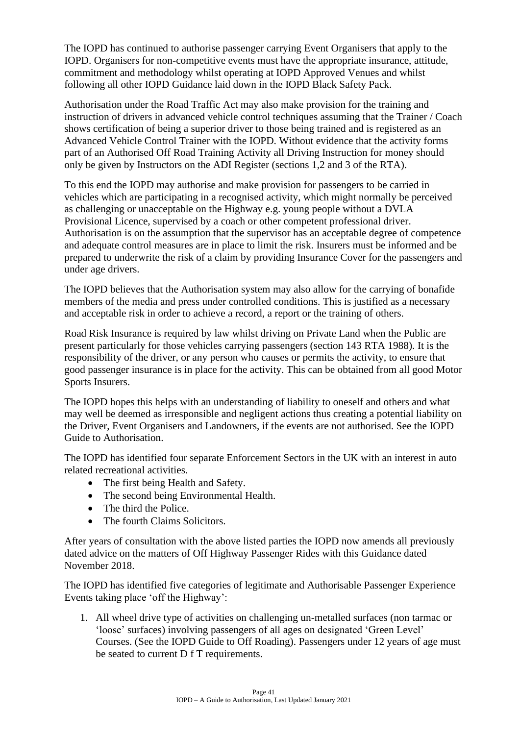The IOPD has continued to authorise passenger carrying Event Organisers that apply to the IOPD. Organisers for non-competitive events must have the appropriate insurance, attitude, commitment and methodology whilst operating at IOPD Approved Venues and whilst following all other IOPD Guidance laid down in the IOPD Black Safety Pack.

Authorisation under the Road Traffic Act may also make provision for the training and instruction of drivers in advanced vehicle control techniques assuming that the Trainer / Coach shows certification of being a superior driver to those being trained and is registered as an Advanced Vehicle Control Trainer with the IOPD. Without evidence that the activity forms part of an Authorised Off Road Training Activity all Driving Instruction for money should only be given by Instructors on the ADI Register (sections 1,2 and 3 of the RTA).

To this end the IOPD may authorise and make provision for passengers to be carried in vehicles which are participating in a recognised activity, which might normally be perceived as challenging or unacceptable on the Highway e.g. young people without a DVLA Provisional Licence, supervised by a coach or other competent professional driver. Authorisation is on the assumption that the supervisor has an acceptable degree of competence and adequate control measures are in place to limit the risk. Insurers must be informed and be prepared to underwrite the risk of a claim by providing Insurance Cover for the passengers and under age drivers.

The IOPD believes that the Authorisation system may also allow for the carrying of bonafide members of the media and press under controlled conditions. This is justified as a necessary and acceptable risk in order to achieve a record, a report or the training of others.

Road Risk Insurance is required by law whilst driving on Private Land when the Public are present particularly for those vehicles carrying passengers (section 143 RTA 1988). It is the responsibility of the driver, or any person who causes or permits the activity, to ensure that good passenger insurance is in place for the activity. This can be obtained from all good Motor Sports Insurers.

The IOPD hopes this helps with an understanding of liability to oneself and others and what may well be deemed as irresponsible and negligent actions thus creating a potential liability on the Driver, Event Organisers and Landowners, if the events are not authorised. See the IOPD Guide to Authorisation.

The IOPD has identified four separate Enforcement Sectors in the UK with an interest in auto related recreational activities.

- The first being Health and Safety.
- The second being Environmental Health.
- The third the Police.
- The fourth Claims Solicitors.

After years of consultation with the above listed parties the IOPD now amends all previously dated advice on the matters of Off Highway Passenger Rides with this Guidance dated November 2018.

The IOPD has identified five categories of legitimate and Authorisable Passenger Experience Events taking place 'off the Highway':

1. All wheel drive type of activities on challenging un-metalled surfaces (non tarmac or 'loose' surfaces) involving passengers of all ages on designated 'Green Level' Courses. (See the IOPD Guide to Off Roading). Passengers under 12 years of age must be seated to current D f T requirements.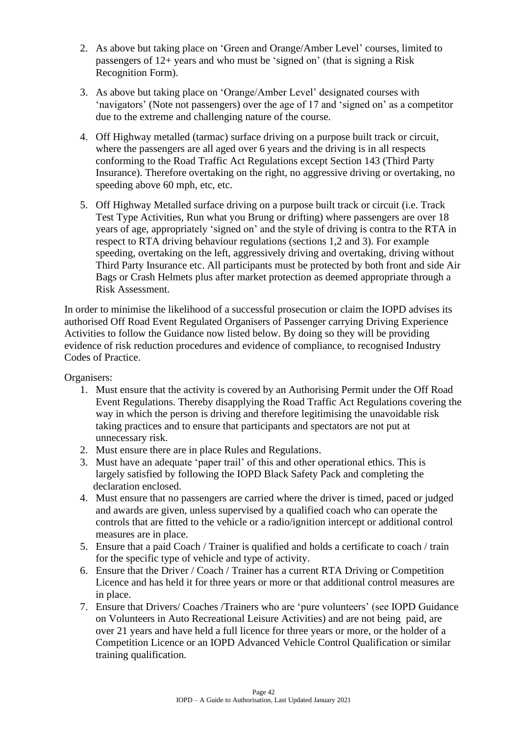- 2. As above but taking place on 'Green and Orange/Amber Level' courses, limited to passengers of 12+ years and who must be 'signed on' (that is signing a Risk Recognition Form).
- 3. As above but taking place on 'Orange/Amber Level' designated courses with 'navigators' (Note not passengers) over the age of 17 and 'signed on' as a competitor due to the extreme and challenging nature of the course.
- 4. Off Highway metalled (tarmac) surface driving on a purpose built track or circuit, where the passengers are all aged over 6 years and the driving is in all respects conforming to the Road Traffic Act Regulations except Section 143 (Third Party Insurance). Therefore overtaking on the right, no aggressive driving or overtaking, no speeding above 60 mph, etc, etc.
- 5. Off Highway Metalled surface driving on a purpose built track or circuit (i.e. Track Test Type Activities, Run what you Brung or drifting) where passengers are over 18 years of age, appropriately 'signed on' and the style of driving is contra to the RTA in respect to RTA driving behaviour regulations (sections 1,2 and 3). For example speeding, overtaking on the left, aggressively driving and overtaking, driving without Third Party Insurance etc. All participants must be protected by both front and side Air Bags or Crash Helmets plus after market protection as deemed appropriate through a Risk Assessment.

In order to minimise the likelihood of a successful prosecution or claim the IOPD advises its authorised Off Road Event Regulated Organisers of Passenger carrying Driving Experience Activities to follow the Guidance now listed below. By doing so they will be providing evidence of risk reduction procedures and evidence of compliance, to recognised Industry Codes of Practice.

Organisers:

- 1. Must ensure that the activity is covered by an Authorising Permit under the Off Road Event Regulations. Thereby disapplying the Road Traffic Act Regulations covering the way in which the person is driving and therefore legitimising the unavoidable risk taking practices and to ensure that participants and spectators are not put at unnecessary risk.
- 2. Must ensure there are in place Rules and Regulations.
- 3. Must have an adequate 'paper trail' of this and other operational ethics. This is largely satisfied by following the IOPD Black Safety Pack and completing the declaration enclosed.
- 4. Must ensure that no passengers are carried where the driver is timed, paced or judged and awards are given, unless supervised by a qualified coach who can operate the controls that are fitted to the vehicle or a radio/ignition intercept or additional control measures are in place.
- 5. Ensure that a paid Coach / Trainer is qualified and holds a certificate to coach / train for the specific type of vehicle and type of activity.
- 6. Ensure that the Driver / Coach / Trainer has a current RTA Driving or Competition Licence and has held it for three years or more or that additional control measures are in place.
- 7. Ensure that Drivers/ Coaches /Trainers who are 'pure volunteers' (see IOPD Guidance on Volunteers in Auto Recreational Leisure Activities) and are not being paid, are over 21 years and have held a full licence for three years or more, or the holder of a Competition Licence or an IOPD Advanced Vehicle Control Qualification or similar training qualification.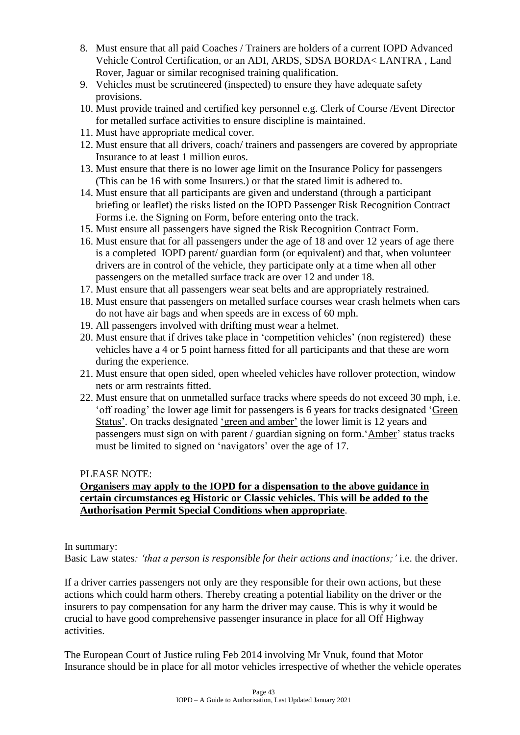- 8. Must ensure that all paid Coaches / Trainers are holders of a current IOPD Advanced Vehicle Control Certification, or an ADI, ARDS, SDSA BORDA< LANTRA , Land Rover, Jaguar or similar recognised training qualification.
- 9. Vehicles must be scrutineered (inspected) to ensure they have adequate safety provisions.
- 10. Must provide trained and certified key personnel e.g. Clerk of Course /Event Director for metalled surface activities to ensure discipline is maintained.
- 11. Must have appropriate medical cover.
- 12. Must ensure that all drivers, coach/ trainers and passengers are covered by appropriate Insurance to at least 1 million euros.
- 13. Must ensure that there is no lower age limit on the Insurance Policy for passengers (This can be 16 with some Insurers.) or that the stated limit is adhered to.
- 14. Must ensure that all participants are given and understand (through a participant briefing or leaflet) the risks listed on the IOPD Passenger Risk Recognition Contract Forms i.e. the Signing on Form, before entering onto the track.
- 15. Must ensure all passengers have signed the Risk Recognition Contract Form.
- 16. Must ensure that for all passengers under the age of 18 and over 12 years of age there is a completed IOPD parent/ guardian form (or equivalent) and that, when volunteer drivers are in control of the vehicle, they participate only at a time when all other passengers on the metalled surface track are over 12 and under 18.
- 17. Must ensure that all passengers wear seat belts and are appropriately restrained.
- 18. Must ensure that passengers on metalled surface courses wear crash helmets when cars do not have air bags and when speeds are in excess of 60 mph.
- 19. All passengers involved with drifting must wear a helmet.
- 20. Must ensure that if drives take place in 'competition vehicles' (non registered) these vehicles have a 4 or 5 point harness fitted for all participants and that these are worn during the experience.
- 21. Must ensure that open sided, open wheeled vehicles have rollover protection, window nets or arm restraints fitted.
- 22. Must ensure that on unmetalled surface tracks where speeds do not exceed 30 mph, i.e. 'off roading' the lower age limit for passengers is 6 years for tracks designated 'Green Status'. On tracks designated 'green and amber' the lower limit is 12 years and passengers must sign on with parent / guardian signing on form.'Amber' status tracks must be limited to signed on 'navigators' over the age of 17.

#### PLEASE NOTE:

#### **Organisers may apply to the IOPD for a dispensation to the above guidance in certain circumstances eg Historic or Classic vehicles. This will be added to the Authorisation Permit Special Conditions when appropriate**.

In summary:

Basic Law states*: 'that a person is responsible for their actions and inactions;'* i.e. the driver.

If a driver carries passengers not only are they responsible for their own actions, but these actions which could harm others. Thereby creating a potential liability on the driver or the insurers to pay compensation for any harm the driver may cause. This is why it would be crucial to have good comprehensive passenger insurance in place for all Off Highway activities.

The European Court of Justice ruling Feb 2014 involving Mr Vnuk, found that Motor Insurance should be in place for all motor vehicles irrespective of whether the vehicle operates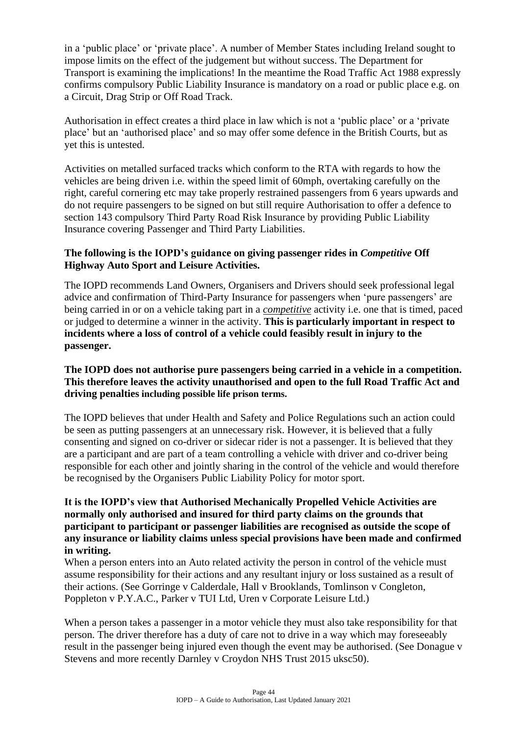in a 'public place' or 'private place'. A number of Member States including Ireland sought to impose limits on the effect of the judgement but without success. The Department for Transport is examining the implications! In the meantime the Road Traffic Act 1988 expressly confirms compulsory Public Liability Insurance is mandatory on a road or public place e.g. on a Circuit, Drag Strip or Off Road Track.

Authorisation in effect creates a third place in law which is not a 'public place' or a 'private place' but an 'authorised place' and so may offer some defence in the British Courts, but as yet this is untested.

Activities on metalled surfaced tracks which conform to the RTA with regards to how the vehicles are being driven i.e. within the speed limit of 60mph, overtaking carefully on the right, careful cornering etc may take properly restrained passengers from 6 years upwards and do not require passengers to be signed on but still require Authorisation to offer a defence to section 143 compulsory Third Party Road Risk Insurance by providing Public Liability Insurance covering Passenger and Third Party Liabilities.

#### **The following is the IOPD's guidance on giving passenger rides in** *Competitive* **Off Highway Auto Sport and Leisure Activities.**

The IOPD recommends Land Owners, Organisers and Drivers should seek professional legal advice and confirmation of Third-Party Insurance for passengers when 'pure passengers' are being carried in or on a vehicle taking part in a *competitive* activity i.e. one that is timed, paced or judged to determine a winner in the activity. **This is particularly important in respect to incidents where a loss of control of a vehicle could feasibly result in injury to the passenger.**

#### **The IOPD does not authorise pure passengers being carried in a vehicle in a competition. This therefore leaves the activity unauthorised and open to the full Road Traffic Act and driving penalties including possible life prison terms.**

The IOPD believes that under Health and Safety and Police Regulations such an action could be seen as putting passengers at an unnecessary risk. However, it is believed that a fully consenting and signed on co-driver or sidecar rider is not a passenger. It is believed that they are a participant and are part of a team controlling a vehicle with driver and co-driver being responsible for each other and jointly sharing in the control of the vehicle and would therefore be recognised by the Organisers Public Liability Policy for motor sport.

#### **It is the IOPD's view that Authorised Mechanically Propelled Vehicle Activities are normally only authorised and insured for third party claims on the grounds that participant to participant or passenger liabilities are recognised as outside the scope of any insurance or liability claims unless special provisions have been made and confirmed in writing.**

When a person enters into an Auto related activity the person in control of the vehicle must assume responsibility for their actions and any resultant injury or loss sustained as a result of their actions. (See Gorringe v Calderdale, Hall v Brooklands, Tomlinson v Congleton, Poppleton v P.Y.A.C., Parker v TUI Ltd, Uren v Corporate Leisure Ltd.)

When a person takes a passenger in a motor vehicle they must also take responsibility for that person. The driver therefore has a duty of care not to drive in a way which may foreseeably result in the passenger being injured even though the event may be authorised. (See Donague v Stevens and more recently Darnley v Croydon NHS Trust 2015 uksc50).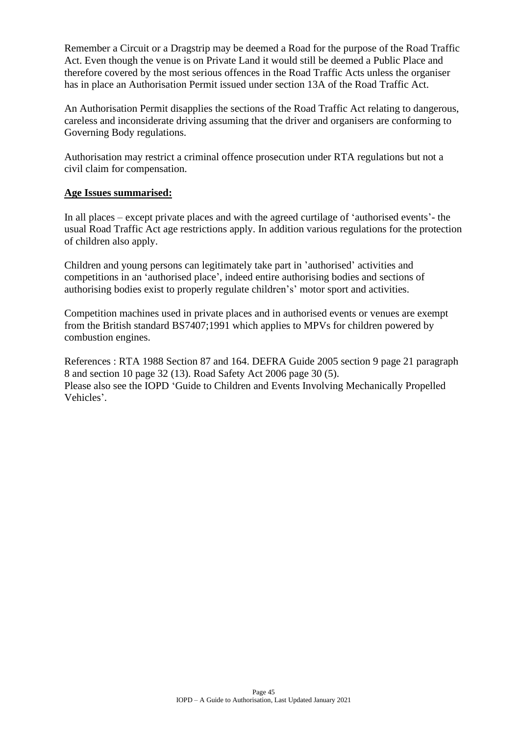Remember a Circuit or a Dragstrip may be deemed a Road for the purpose of the Road Traffic Act. Even though the venue is on Private Land it would still be deemed a Public Place and therefore covered by the most serious offences in the Road Traffic Acts unless the organiser has in place an Authorisation Permit issued under section 13A of the Road Traffic Act.

An Authorisation Permit disapplies the sections of the Road Traffic Act relating to dangerous, careless and inconsiderate driving assuming that the driver and organisers are conforming to Governing Body regulations.

Authorisation may restrict a criminal offence prosecution under RTA regulations but not a civil claim for compensation.

#### **Age Issues summarised:**

In all places – except private places and with the agreed curtilage of 'authorised events'- the usual Road Traffic Act age restrictions apply. In addition various regulations for the protection of children also apply.

Children and young persons can legitimately take part in 'authorised' activities and competitions in an 'authorised place', indeed entire authorising bodies and sections of authorising bodies exist to properly regulate children's' motor sport and activities.

Competition machines used in private places and in authorised events or venues are exempt from the British standard BS7407;1991 which applies to MPVs for children powered by combustion engines.

References : RTA 1988 Section 87 and 164. DEFRA Guide 2005 section 9 page 21 paragraph 8 and section 10 page 32 (13). Road Safety Act 2006 page 30 (5). Please also see the IOPD 'Guide to Children and Events Involving Mechanically Propelled Vehicles'.